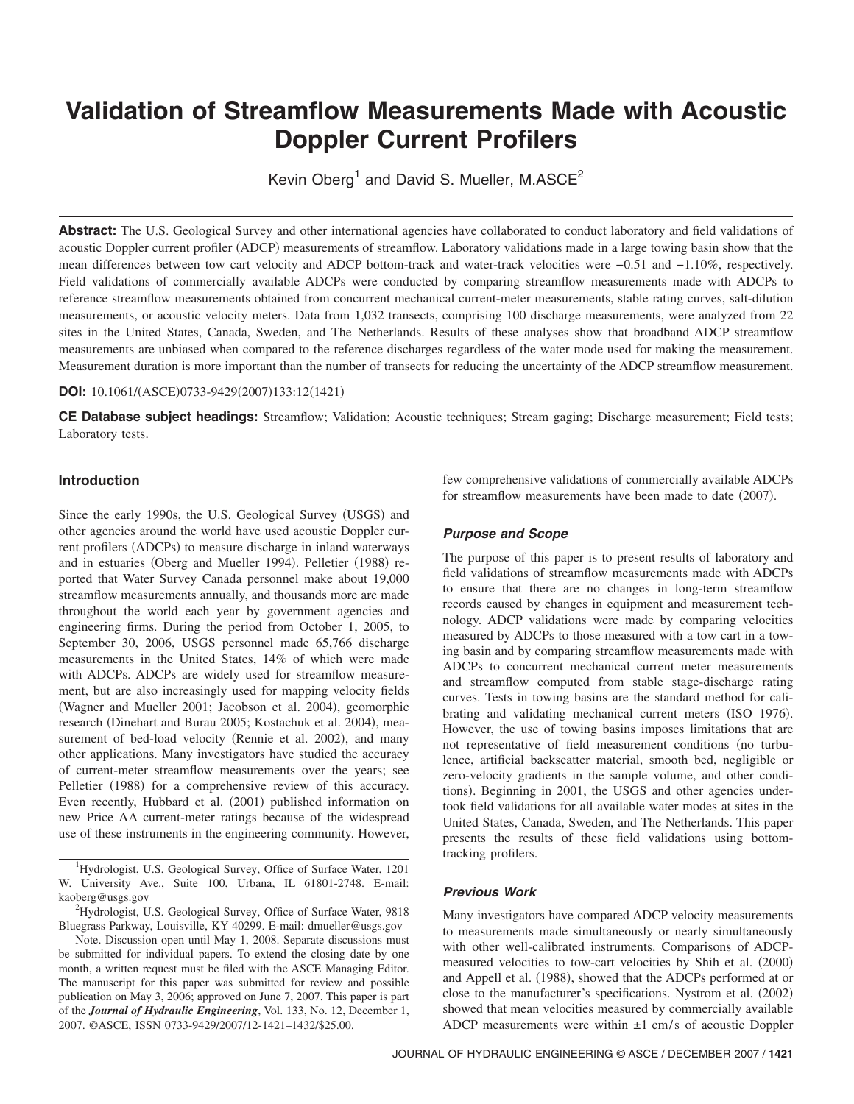# **Validation of Streamflow Measurements Made with Acoustic Doppler Current Profilers**

Kevin Oberg<sup>1</sup> and David S. Mueller, M.ASCE<sup>2</sup>

Abstract: The U.S. Geological Survey and other international agencies have collaborated to conduct laboratory and field validations of acoustic Doppler current profiler (ADCP) measurements of streamflow. Laboratory validations made in a large towing basin show that the mean differences between tow cart velocity and ADCP bottom-track and water-track velocities were −0.51 and −1.10%, respectively. Field validations of commercially available ADCPs were conducted by comparing streamflow measurements made with ADCPs to reference streamflow measurements obtained from concurrent mechanical current-meter measurements, stable rating curves, salt-dilution measurements, or acoustic velocity meters. Data from 1,032 transects, comprising 100 discharge measurements, were analyzed from 22 sites in the United States, Canada, Sweden, and The Netherlands. Results of these analyses show that broadband ADCP streamflow measurements are unbiased when compared to the reference discharges regardless of the water mode used for making the measurement. Measurement duration is more important than the number of transects for reducing the uncertainty of the ADCP streamflow measurement.

#### **DOI:** 10.1061/(ASCE)0733-9429(2007)133:12(1421)

**CE Database subject headings:** Streamflow; Validation; Acoustic techniques; Stream gaging; Discharge measurement; Field tests; Laboratory tests.

# **Introduction**

Since the early 1990s, the U.S. Geological Survey (USGS) and other agencies around the world have used acoustic Doppler current profilers (ADCPs) to measure discharge in inland waterways and in estuaries (Oberg and Mueller 1994). Pelletier (1988) reported that Water Survey Canada personnel make about 19,000 streamflow measurements annually, and thousands more are made throughout the world each year by government agencies and engineering firms. During the period from October 1, 2005, to September 30, 2006, USGS personnel made 65,766 discharge measurements in the United States, 14% of which were made with ADCPs. ADCPs are widely used for streamflow measurement, but are also increasingly used for mapping velocity fields (Wagner and Mueller 2001; Jacobson et al. 2004), geomorphic research (Dinehart and Burau 2005; Kostachuk et al. 2004), measurement of bed-load velocity (Rennie et al. 2002), and many other applications. Many investigators have studied the accuracy of current-meter streamflow measurements over the years; see Pelletier (1988) for a comprehensive review of this accuracy. Even recently, Hubbard et al. (2001) published information on new Price AA current-meter ratings because of the widespread use of these instruments in the engineering community. However,

<sup>1</sup>Hydrologist, U.S. Geological Survey, Office of Surface Water, 1201 W. University Ave., Suite 100, Urbana, IL 61801-2748. E-mail: kaoberg@usgs.gov <sup>2</sup>

<sup>2</sup>Hydrologist, U.S. Geological Survey, Office of Surface Water, 9818 Bluegrass Parkway, Louisville, KY 40299. E-mail: dmueller@usgs.gov

Note. Discussion open until May 1, 2008. Separate discussions must be submitted for individual papers. To extend the closing date by one month, a written request must be filed with the ASCE Managing Editor. The manuscript for this paper was submitted for review and possible publication on May 3, 2006; approved on June 7, 2007. This paper is part of the *Journal of Hydraulic Engineering*, Vol. 133, No. 12, December 1, 2007. ©ASCE, ISSN 0733-9429/2007/12-1421–1432/\$25.00.

few comprehensive validations of commercially available ADCPs for streamflow measurements have been made to date (2007).

#### *Purpose and Scope*

The purpose of this paper is to present results of laboratory and field validations of streamflow measurements made with ADCPs to ensure that there are no changes in long-term streamflow records caused by changes in equipment and measurement technology. ADCP validations were made by comparing velocities measured by ADCPs to those measured with a tow cart in a towing basin and by comparing streamflow measurements made with ADCPs to concurrent mechanical current meter measurements and streamflow computed from stable stage-discharge rating curves. Tests in towing basins are the standard method for calibrating and validating mechanical current meters (ISO 1976). However, the use of towing basins imposes limitations that are not representative of field measurement conditions (no turbulence, artificial backscatter material, smooth bed, negligible or zero-velocity gradients in the sample volume, and other conditions). Beginning in 2001, the USGS and other agencies undertook field validations for all available water modes at sites in the United States, Canada, Sweden, and The Netherlands. This paper presents the results of these field validations using bottomtracking profilers.

### *Previous Work*

Many investigators have compared ADCP velocity measurements to measurements made simultaneously or nearly simultaneously with other well-calibrated instruments. Comparisons of ADCPmeasured velocities to tow-cart velocities by Shih et al. (2000) and Appell et al. (1988), showed that the ADCPs performed at or close to the manufacturer's specifications. Nystrom et al. (2002) showed that mean velocities measured by commercially available ADCP measurements were within  $\pm 1$  cm/s of acoustic Doppler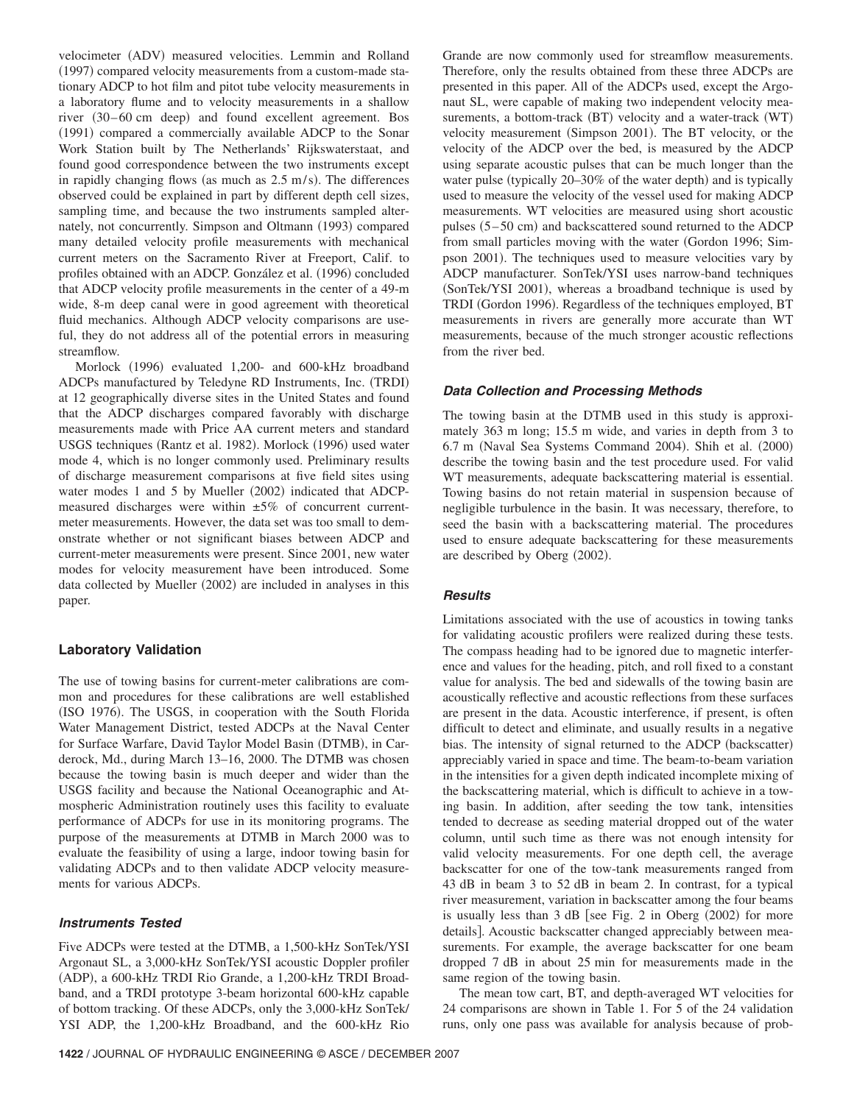velocimeter (ADV) measured velocities. Lemmin and Rolland (1997) compared velocity measurements from a custom-made stationary ADCP to hot film and pitot tube velocity measurements in a laboratory flume and to velocity measurements in a shallow river (30–60 cm deep) and found excellent agreement. Bos (1991) compared a commercially available ADCP to the Sonar Work Station built by The Netherlands' Rijkswaterstaat, and found good correspondence between the two instruments except in rapidly changing flows (as much as  $2.5 \text{ m/s}$ ). The differences observed could be explained in part by different depth cell sizes, sampling time, and because the two instruments sampled alternately, not concurrently. Simpson and Oltmann (1993) compared many detailed velocity profile measurements with mechanical current meters on the Sacramento River at Freeport, Calif. to profiles obtained with an ADCP. González et al. (1996) concluded that ADCP velocity profile measurements in the center of a 49-m wide, 8-m deep canal were in good agreement with theoretical fluid mechanics. Although ADCP velocity comparisons are useful, they do not address all of the potential errors in measuring streamflow.

Morlock (1996) evaluated 1,200- and 600-kHz broadband ADCPs manufactured by Teledyne RD Instruments, Inc. TRDI at 12 geographically diverse sites in the United States and found that the ADCP discharges compared favorably with discharge measurements made with Price AA current meters and standard USGS techniques (Rantz et al. 1982). Morlock (1996) used water mode 4, which is no longer commonly used. Preliminary results of discharge measurement comparisons at five field sites using water modes 1 and 5 by Mueller (2002) indicated that ADCPmeasured discharges were within  $\pm 5\%$  of concurrent currentmeter measurements. However, the data set was too small to demonstrate whether or not significant biases between ADCP and current-meter measurements were present. Since 2001, new water modes for velocity measurement have been introduced. Some data collected by Mueller (2002) are included in analyses in this paper.

# **Laboratory Validation**

The use of towing basins for current-meter calibrations are common and procedures for these calibrations are well established (ISO 1976). The USGS, in cooperation with the South Florida Water Management District, tested ADCPs at the Naval Center for Surface Warfare, David Taylor Model Basin (DTMB), in Carderock, Md., during March 13–16, 2000. The DTMB was chosen because the towing basin is much deeper and wider than the USGS facility and because the National Oceanographic and Atmospheric Administration routinely uses this facility to evaluate performance of ADCPs for use in its monitoring programs. The purpose of the measurements at DTMB in March 2000 was to evaluate the feasibility of using a large, indoor towing basin for validating ADCPs and to then validate ADCP velocity measurements for various ADCPs.

# *Instruments Tested*

Five ADCPs were tested at the DTMB, a 1,500-kHz SonTek/YSI Argonaut SL, a 3,000-kHz SonTek/YSI acoustic Doppler profiler (ADP), a 600-kHz TRDI Rio Grande, a 1,200-kHz TRDI Broadband, and a TRDI prototype 3-beam horizontal 600-kHz capable of bottom tracking. Of these ADCPs, only the 3,000-kHz SonTek/ YSI ADP, the 1,200-kHz Broadband, and the 600-kHz Rio Grande are now commonly used for streamflow measurements. Therefore, only the results obtained from these three ADCPs are presented in this paper. All of the ADCPs used, except the Argonaut SL, were capable of making two independent velocity measurements, a bottom-track (BT) velocity and a water-track (WT) velocity measurement (Simpson 2001). The BT velocity, or the velocity of the ADCP over the bed, is measured by the ADCP using separate acoustic pulses that can be much longer than the water pulse (typically 20–30% of the water depth) and is typically used to measure the velocity of the vessel used for making ADCP measurements. WT velocities are measured using short acoustic pulses (5-50 cm) and backscattered sound returned to the ADCP from small particles moving with the water Gordon 1996; Simpson 2001). The techniques used to measure velocities vary by ADCP manufacturer. SonTek/YSI uses narrow-band techniques (SonTek/YSI 2001), whereas a broadband technique is used by TRDI (Gordon 1996). Regardless of the techniques employed, BT measurements in rivers are generally more accurate than WT measurements, because of the much stronger acoustic reflections from the river bed.

### *Data Collection and Processing Methods*

The towing basin at the DTMB used in this study is approximately 363 m long; 15.5 m wide, and varies in depth from 3 to 6.7 m (Naval Sea Systems Command 2004). Shih et al. (2000) describe the towing basin and the test procedure used. For valid WT measurements, adequate backscattering material is essential. Towing basins do not retain material in suspension because of negligible turbulence in the basin. It was necessary, therefore, to seed the basin with a backscattering material. The procedures used to ensure adequate backscattering for these measurements are described by Oberg (2002).

# *Results*

Limitations associated with the use of acoustics in towing tanks for validating acoustic profilers were realized during these tests. The compass heading had to be ignored due to magnetic interference and values for the heading, pitch, and roll fixed to a constant value for analysis. The bed and sidewalls of the towing basin are acoustically reflective and acoustic reflections from these surfaces are present in the data. Acoustic interference, if present, is often difficult to detect and eliminate, and usually results in a negative bias. The intensity of signal returned to the ADCP (backscatter) appreciably varied in space and time. The beam-to-beam variation in the intensities for a given depth indicated incomplete mixing of the backscattering material, which is difficult to achieve in a towing basin. In addition, after seeding the tow tank, intensities tended to decrease as seeding material dropped out of the water column, until such time as there was not enough intensity for valid velocity measurements. For one depth cell, the average backscatter for one of the tow-tank measurements ranged from 43 dB in beam 3 to 52 dB in beam 2. In contrast, for a typical river measurement, variation in backscatter among the four beams is usually less than  $3$  dB [see Fig. 2 in Oberg  $(2002)$  for more details]. Acoustic backscatter changed appreciably between measurements. For example, the average backscatter for one beam dropped 7 dB in about 25 min for measurements made in the same region of the towing basin.

The mean tow cart, BT, and depth-averaged WT velocities for 24 comparisons are shown in Table 1. For 5 of the 24 validation runs, only one pass was available for analysis because of prob-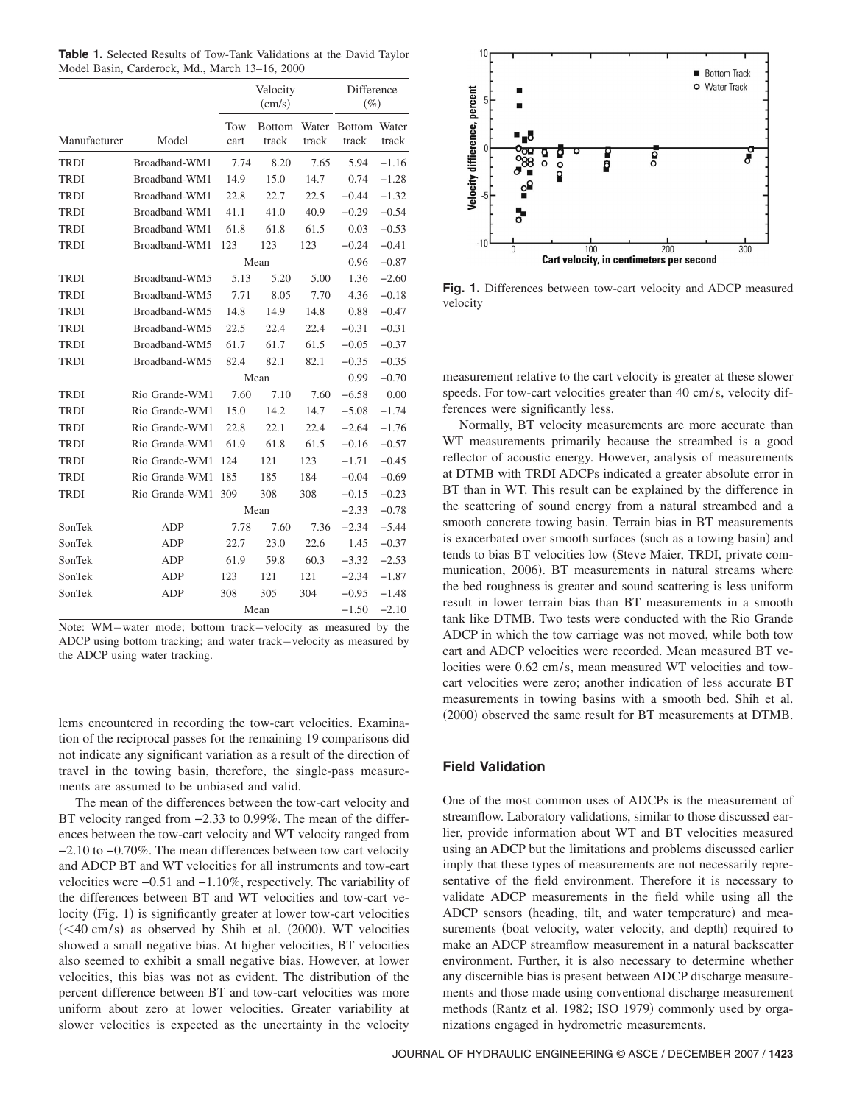**Table 1.** Selected Results of Tow-Tank Validations at the David Taylor Model Basin, Carderock, Md., March 13–16, 2000

|              |                | Velocity<br>(cm/s) |                        |                |                        |                |  |  |  |
|--------------|----------------|--------------------|------------------------|----------------|------------------------|----------------|--|--|--|
| Manufacturer | Model          | Tow<br>cart        | <b>Bottom</b><br>track | Water<br>track | <b>Bottom</b><br>track | Water<br>track |  |  |  |
| <b>TRDI</b>  | Broadband-WM1  | 7.74               | 8.20                   | 7.65           | 5.94                   | $-1.16$        |  |  |  |
| <b>TRDI</b>  | Broadband-WM1  | 14.9               | 15.0                   | 14.7           | 0.74                   | $-1.28$        |  |  |  |
| <b>TRDI</b>  | Broadband-WM1  | 22.8               | 22.7                   | 22.5           | $-0.44$                | $-1.32$        |  |  |  |
| <b>TRDI</b>  | Broadband-WM1  | 41.1               | 41.0                   | 40.9           | $-0.29$                | $-0.54$        |  |  |  |
| <b>TRDI</b>  | Broadband-WM1  | 61.8               | 61.8                   | 61.5           | 0.03                   | $-0.53$        |  |  |  |
| TRDI         | Broadband-WM1  | 123                | 123                    | 123            | $-0.24$                | $-0.41$        |  |  |  |
|              |                |                    | Mean                   |                | 0.96                   | $-0.87$        |  |  |  |
| <b>TRDI</b>  | Broadband-WM5  | 5.13               | 5.20                   | 5.00           | 1.36                   | $-2.60$        |  |  |  |
| <b>TRDI</b>  | Broadband-WM5  | 7.71               | 8.05                   | 7.70           | 4.36                   | $-0.18$        |  |  |  |
| <b>TRDI</b>  | Broadband-WM5  | 14.8               | 14.9                   | 14.8           | 0.88                   | $-0.47$        |  |  |  |
| <b>TRDI</b>  | Broadband-WM5  | 22.5               | 22.4                   | 22.4           | $-0.31$                | $-0.31$        |  |  |  |
| <b>TRDI</b>  | Broadband-WM5  | 61.7               | 61.7                   | 61.5           | $-0.05$                | $-0.37$        |  |  |  |
| TRDI         | Broadband-WM5  | 82.4               | 82.1                   | 82.1           | $-0.35$                | $-0.35$        |  |  |  |
|              |                |                    | Mean                   |                | 0.99                   | $-0.70$        |  |  |  |
| <b>TRDI</b>  | Rio Grande-WM1 | 7.60               | 7.10                   | 7.60           | $-6.58$                | 0.00           |  |  |  |
| <b>TRDI</b>  | Rio Grande-WM1 | 15.0               | 14.2                   | 14.7           | $-5.08$                | $-1.74$        |  |  |  |
| <b>TRDI</b>  | Rio Grande-WM1 | 22.8               | 22.1                   | 22.4           | $-2.64$                | $-1.76$        |  |  |  |
| <b>TRDI</b>  | Rio Grande-WM1 | 61.9               | 61.8                   | 61.5           | $-0.16$                | $-0.57$        |  |  |  |
| <b>TRDI</b>  | Rio Grande-WM1 | 124                | 121                    | 123            | $-1.71$                | $-0.45$        |  |  |  |
| <b>TRDI</b>  | Rio Grande-WM1 | 185                | 185                    | 184            | $-0.04$                | $-0.69$        |  |  |  |
| <b>TRDI</b>  | Rio Grande-WM1 | 309                | 308                    | 308            | $-0.15$                | $-0.23$        |  |  |  |
|              |                |                    | Mean                   |                | $-2.33$                | $-0.78$        |  |  |  |
| SonTek       | ADP            | 7.78               | 7.60                   | 7.36           | $-2.34$                | $-5.44$        |  |  |  |
| SonTek       | ADP            | 22.7               | 23.0                   | 22.6           | 1.45                   | $-0.37$        |  |  |  |
| SonTek       | <b>ADP</b>     | 61.9               | 59.8                   | 60.3           | $-3.32$                | $-2.53$        |  |  |  |
| SonTek       | <b>ADP</b>     | 123                | 121                    | 121            | $-2.34$                | $-1.87$        |  |  |  |
| SonTek       | ADP            | 308                | 305                    | 304            | $-0.95$                | $-1.48$        |  |  |  |
|              |                |                    | Mean                   |                | $-1.50$                | $-2.10$        |  |  |  |

Note: WM=water mode; bottom track=velocity as measured by the ADCP using bottom tracking; and water track=velocity as measured by the ADCP using water tracking.

lems encountered in recording the tow-cart velocities. Examination of the reciprocal passes for the remaining 19 comparisons did not indicate any significant variation as a result of the direction of travel in the towing basin, therefore, the single-pass measurements are assumed to be unbiased and valid.

The mean of the differences between the tow-cart velocity and BT velocity ranged from −2.33 to 0.99%. The mean of the differences between the tow-cart velocity and WT velocity ranged from −2.10 to −0.70%. The mean differences between tow cart velocity and ADCP BT and WT velocities for all instruments and tow-cart velocities were −0.51 and −1.10%, respectively. The variability of the differences between BT and WT velocities and tow-cart velocity (Fig. 1) is significantly greater at lower tow-cart velocities  $(<$  40 cm/s) as observed by Shih et al. (2000). WT velocities showed a small negative bias. At higher velocities, BT velocities also seemed to exhibit a small negative bias. However, at lower velocities, this bias was not as evident. The distribution of the percent difference between BT and tow-cart velocities was more uniform about zero at lower velocities. Greater variability at slower velocities is expected as the uncertainty in the velocity



**Fig. 1.** Differences between tow-cart velocity and ADCP measured velocity

measurement relative to the cart velocity is greater at these slower speeds. For tow-cart velocities greater than 40 cm/s, velocity differences were significantly less.

Normally, BT velocity measurements are more accurate than WT measurements primarily because the streambed is a good reflector of acoustic energy. However, analysis of measurements at DTMB with TRDI ADCPs indicated a greater absolute error in BT than in WT. This result can be explained by the difference in the scattering of sound energy from a natural streambed and a smooth concrete towing basin. Terrain bias in BT measurements is exacerbated over smooth surfaces (such as a towing basin) and tends to bias BT velocities low (Steve Maier, TRDI, private communication, 2006). BT measurements in natural streams where the bed roughness is greater and sound scattering is less uniform result in lower terrain bias than BT measurements in a smooth tank like DTMB. Two tests were conducted with the Rio Grande ADCP in which the tow carriage was not moved, while both tow cart and ADCP velocities were recorded. Mean measured BT velocities were  $0.62$  cm/s, mean measured WT velocities and towcart velocities were zero; another indication of less accurate BT measurements in towing basins with a smooth bed. Shih et al. (2000) observed the same result for BT measurements at DTMB.

# **Field Validation**

One of the most common uses of ADCPs is the measurement of streamflow. Laboratory validations, similar to those discussed earlier, provide information about WT and BT velocities measured using an ADCP but the limitations and problems discussed earlier imply that these types of measurements are not necessarily representative of the field environment. Therefore it is necessary to validate ADCP measurements in the field while using all the ADCP sensors (heading, tilt, and water temperature) and measurements (boat velocity, water velocity, and depth) required to make an ADCP streamflow measurement in a natural backscatter environment. Further, it is also necessary to determine whether any discernible bias is present between ADCP discharge measurements and those made using conventional discharge measurement methods (Rantz et al. 1982; ISO 1979) commonly used by organizations engaged in hydrometric measurements.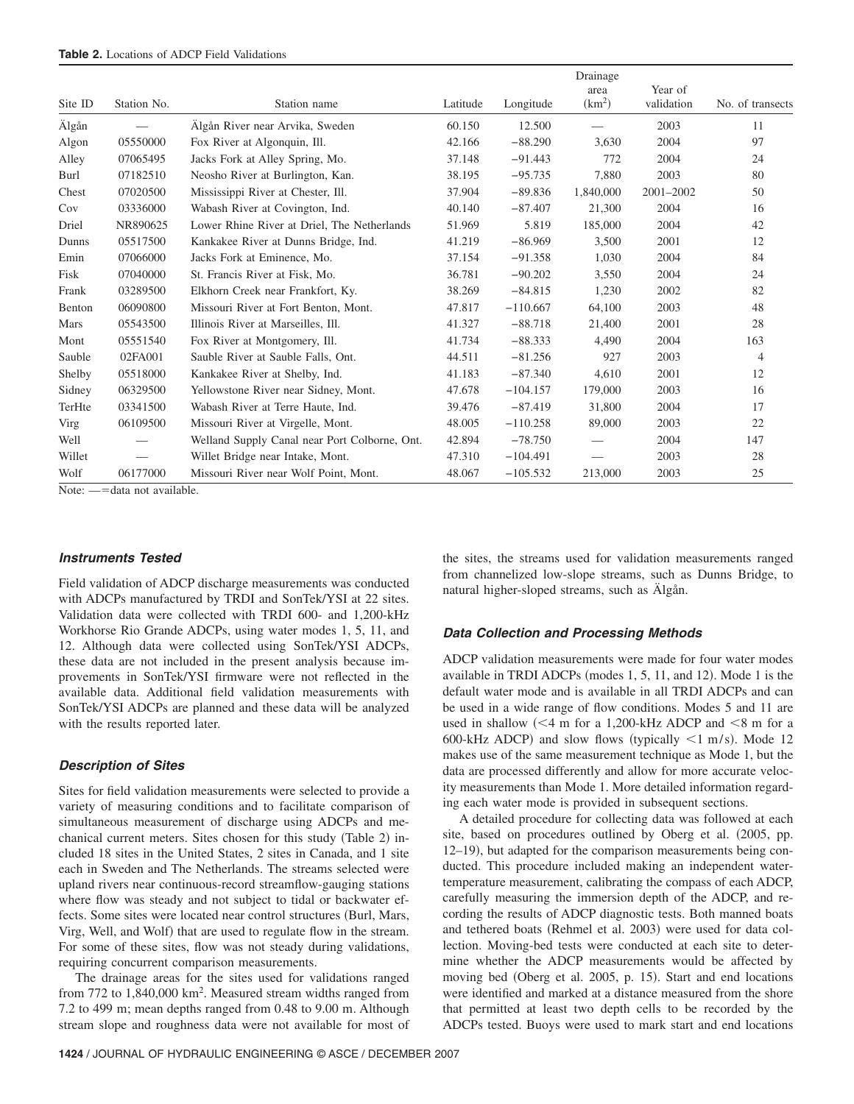|         |             |                                               |          |            | Drainage                   |                       |                  |
|---------|-------------|-----------------------------------------------|----------|------------|----------------------------|-----------------------|------------------|
| Site ID | Station No. | Station name                                  | Latitude | Longitude  | area<br>(km <sup>2</sup> ) | Year of<br>validation | No. of transects |
| Älgån   |             | Älgån River near Arvika, Sweden               | 60.150   | 12.500     |                            | 2003                  | 11               |
| Algon   | 05550000    | Fox River at Algonquin, Ill.                  | 42.166   | $-88.290$  | 3,630                      | 2004                  | 97               |
| Alley   | 07065495    | Jacks Fork at Alley Spring, Mo.               | 37.148   | $-91.443$  | 772                        | 2004                  | 24               |
| Burl    | 07182510    | Neosho River at Burlington, Kan.              | 38.195   | $-95.735$  | 7,880                      | 2003                  | 80               |
| Chest   | 07020500    | Mississippi River at Chester, Ill.            | 37.904   | $-89.836$  | 1,840,000                  | 2001-2002             | 50               |
| Cov     | 03336000    | Wabash River at Covington, Ind.               | 40.140   | $-87.407$  | 21,300                     | 2004                  | 16               |
| Driel   | NR890625    | Lower Rhine River at Driel, The Netherlands   | 51.969   | 5.819      | 185,000                    | 2004                  | 42               |
| Dunns   | 05517500    | Kankakee River at Dunns Bridge, Ind.          | 41.219   | $-86.969$  | 3,500                      | 2001                  | 12               |
| Emin    | 07066000    | Jacks Fork at Eminence, Mo.                   | 37.154   | $-91.358$  | 1,030                      | 2004                  | 84               |
| Fisk    | 07040000    | St. Francis River at Fisk. Mo.                | 36.781   | $-90.202$  | 3,550                      | 2004                  | 24               |
| Frank   | 03289500    | Elkhorn Creek near Frankfort, Ky.             | 38.269   | $-84.815$  | 1,230                      | 2002                  | 82               |
| Benton  | 06090800    | Missouri River at Fort Benton, Mont.          | 47.817   | $-110.667$ | 64,100                     | 2003                  | 48               |
| Mars    | 05543500    | Illinois River at Marseilles, Ill.            | 41.327   | $-88.718$  | 21,400                     | 2001                  | 28               |
| Mont    | 05551540    | Fox River at Montgomery, Ill.                 | 41.734   | $-88.333$  | 4,490                      | 2004                  | 163              |
| Sauble  | 02FA001     | Sauble River at Sauble Falls, Ont.            | 44.511   | $-81.256$  | 927                        | 2003                  | $\overline{4}$   |
| Shelby  | 05518000    | Kankakee River at Shelby, Ind.                | 41.183   | $-87.340$  | 4,610                      | 2001                  | 12               |
| Sidney  | 06329500    | Yellowstone River near Sidney, Mont.          | 47.678   | $-104.157$ | 179,000                    | 2003                  | 16               |
| TerHte  | 03341500    | Wabash River at Terre Haute, Ind.             | 39.476   | $-87.419$  | 31,800                     | 2004                  | 17               |
| Virg    | 06109500    | Missouri River at Virgelle, Mont.             | 48.005   | $-110.258$ | 89,000                     | 2003                  | 22               |
| Well    |             | Welland Supply Canal near Port Colborne, Ont. | 42.894   | $-78.750$  |                            | 2004                  | 147              |
| Willet  |             | Willet Bridge near Intake, Mont.              | 47.310   | $-104.491$ |                            | 2003                  | 28               |
| Wolf    | 06177000    | Missouri River near Wolf Point, Mont.         | 48.067   | $-105.532$ | 213,000                    | 2003                  | 25               |

Note: - data not available.

#### *Instruments Tested*

Field validation of ADCP discharge measurements was conducted with ADCPs manufactured by TRDI and SonTek/YSI at 22 sites. Validation data were collected with TRDI 600- and 1,200-kHz Workhorse Rio Grande ADCPs, using water modes 1, 5, 11, and 12. Although data were collected using SonTek/YSI ADCPs, these data are not included in the present analysis because improvements in SonTek/YSI firmware were not reflected in the available data. Additional field validation measurements with SonTek/YSI ADCPs are planned and these data will be analyzed with the results reported later.

#### *Description of Sites*

Sites for field validation measurements were selected to provide a variety of measuring conditions and to facilitate comparison of simultaneous measurement of discharge using ADCPs and mechanical current meters. Sites chosen for this study (Table 2) included 18 sites in the United States, 2 sites in Canada, and 1 site each in Sweden and The Netherlands. The streams selected were upland rivers near continuous-record streamflow-gauging stations where flow was steady and not subject to tidal or backwater effects. Some sites were located near control structures (Burl, Mars, Virg, Well, and Wolf) that are used to regulate flow in the stream. For some of these sites, flow was not steady during validations, requiring concurrent comparison measurements.

The drainage areas for the sites used for validations ranged from 772 to 1,840,000 km<sup>2</sup>. Measured stream widths ranged from 7.2 to 499 m; mean depths ranged from 0.48 to 9.00 m. Although stream slope and roughness data were not available for most of

the sites, the streams used for validation measurements ranged from channelized low-slope streams, such as Dunns Bridge, to natural higher-sloped streams, such as Älgån.

#### *Data Collection and Processing Methods*

ADCP validation measurements were made for four water modes available in TRDI ADCPs (modes 1, 5, 11, and 12). Mode 1 is the default water mode and is available in all TRDI ADCPs and can be used in a wide range of flow conditions. Modes 5 and 11 are used in shallow  $\ll 4$  m for a 1,200-kHz ADCP and  $\ll 8$  m for a 600-kHz ADCP) and slow flows (typically  $\leq 1$  m/s). Mode 12 makes use of the same measurement technique as Mode 1, but the data are processed differently and allow for more accurate velocity measurements than Mode 1. More detailed information regarding each water mode is provided in subsequent sections.

A detailed procedure for collecting data was followed at each site, based on procedures outlined by Oberg et al. (2005, pp. 12–19), but adapted for the comparison measurements being conducted. This procedure included making an independent watertemperature measurement, calibrating the compass of each ADCP, carefully measuring the immersion depth of the ADCP, and recording the results of ADCP diagnostic tests. Both manned boats and tethered boats (Rehmel et al. 2003) were used for data collection. Moving-bed tests were conducted at each site to determine whether the ADCP measurements would be affected by moving bed (Oberg et al. 2005, p. 15). Start and end locations were identified and marked at a distance measured from the shore that permitted at least two depth cells to be recorded by the ADCPs tested. Buoys were used to mark start and end locations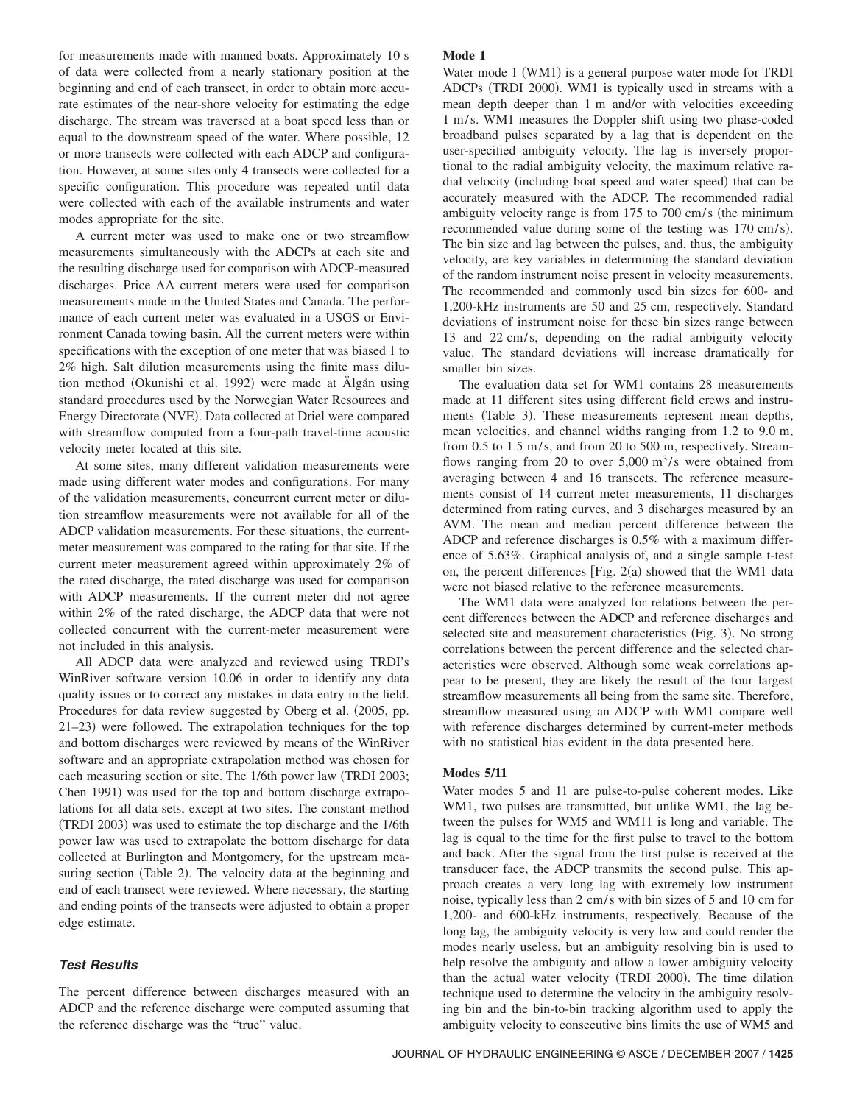for measurements made with manned boats. Approximately 10 s of data were collected from a nearly stationary position at the beginning and end of each transect, in order to obtain more accurate estimates of the near-shore velocity for estimating the edge discharge. The stream was traversed at a boat speed less than or equal to the downstream speed of the water. Where possible, 12 or more transects were collected with each ADCP and configuration. However, at some sites only 4 transects were collected for a specific configuration. This procedure was repeated until data were collected with each of the available instruments and water modes appropriate for the site.

A current meter was used to make one or two streamflow measurements simultaneously with the ADCPs at each site and the resulting discharge used for comparison with ADCP-measured discharges. Price AA current meters were used for comparison measurements made in the United States and Canada. The performance of each current meter was evaluated in a USGS or Environment Canada towing basin. All the current meters were within specifications with the exception of one meter that was biased 1 to 2% high. Salt dilution measurements using the finite mass dilution method (Okunishi et al. 1992) were made at Älgån using standard procedures used by the Norwegian Water Resources and Energy Directorate (NVE). Data collected at Driel were compared with streamflow computed from a four-path travel-time acoustic velocity meter located at this site.

At some sites, many different validation measurements were made using different water modes and configurations. For many of the validation measurements, concurrent current meter or dilution streamflow measurements were not available for all of the ADCP validation measurements. For these situations, the currentmeter measurement was compared to the rating for that site. If the current meter measurement agreed within approximately 2% of the rated discharge, the rated discharge was used for comparison with ADCP measurements. If the current meter did not agree within 2% of the rated discharge, the ADCP data that were not collected concurrent with the current-meter measurement were not included in this analysis.

All ADCP data were analyzed and reviewed using TRDI's WinRiver software version 10.06 in order to identify any data quality issues or to correct any mistakes in data entry in the field. Procedures for data review suggested by Oberg et al. (2005, pp. 21–23) were followed. The extrapolation techniques for the top and bottom discharges were reviewed by means of the WinRiver software and an appropriate extrapolation method was chosen for each measuring section or site. The 1/6th power law (TRDI 2003; Chen 1991) was used for the top and bottom discharge extrapolations for all data sets, except at two sites. The constant method (TRDI 2003) was used to estimate the top discharge and the 1/6th power law was used to extrapolate the bottom discharge for data collected at Burlington and Montgomery, for the upstream measuring section (Table 2). The velocity data at the beginning and end of each transect were reviewed. Where necessary, the starting and ending points of the transects were adjusted to obtain a proper edge estimate.

# *Test Results*

The percent difference between discharges measured with an ADCP and the reference discharge were computed assuming that the reference discharge was the "true" value.

# **Mode 1**

Water mode 1 (WM1) is a general purpose water mode for TRDI ADCPs (TRDI 2000). WM1 is typically used in streams with a mean depth deeper than 1 m and/or with velocities exceeding 1 m/ s. WM1 measures the Doppler shift using two phase-coded broadband pulses separated by a lag that is dependent on the user-specified ambiguity velocity. The lag is inversely proportional to the radial ambiguity velocity, the maximum relative radial velocity (including boat speed and water speed) that can be accurately measured with the ADCP. The recommended radial ambiguity velocity range is from  $175$  to  $700 \text{ cm/s}$  (the minimum recommended value during some of the testing was 170 cm/s). The bin size and lag between the pulses, and, thus, the ambiguity velocity, are key variables in determining the standard deviation of the random instrument noise present in velocity measurements. The recommended and commonly used bin sizes for 600- and 1,200-kHz instruments are 50 and 25 cm, respectively. Standard deviations of instrument noise for these bin sizes range between 13 and 22 cm/s, depending on the radial ambiguity velocity value. The standard deviations will increase dramatically for smaller bin sizes.

The evaluation data set for WM1 contains 28 measurements made at 11 different sites using different field crews and instruments (Table 3). These measurements represent mean depths, mean velocities, and channel widths ranging from 1.2 to 9.0 m, from 0.5 to 1.5 m/s, and from 20 to 500 m, respectively. Streamflows ranging from 20 to over  $5,000 \text{ m}^3/\text{s}$  were obtained from averaging between 4 and 16 transects. The reference measurements consist of 14 current meter measurements, 11 discharges determined from rating curves, and 3 discharges measured by an AVM. The mean and median percent difference between the ADCP and reference discharges is 0.5% with a maximum difference of 5.63%. Graphical analysis of, and a single sample t-test on, the percent differences [Fig. 2(a) showed that the WM1 data were not biased relative to the reference measurements.

The WM1 data were analyzed for relations between the percent differences between the ADCP and reference discharges and selected site and measurement characteristics (Fig. 3). No strong correlations between the percent difference and the selected characteristics were observed. Although some weak correlations appear to be present, they are likely the result of the four largest streamflow measurements all being from the same site. Therefore, streamflow measured using an ADCP with WM1 compare well with reference discharges determined by current-meter methods with no statistical bias evident in the data presented here.

# **Modes 5/11**

Water modes 5 and 11 are pulse-to-pulse coherent modes. Like WM1, two pulses are transmitted, but unlike WM1, the lag between the pulses for WM5 and WM11 is long and variable. The lag is equal to the time for the first pulse to travel to the bottom and back. After the signal from the first pulse is received at the transducer face, the ADCP transmits the second pulse. This approach creates a very long lag with extremely low instrument noise, typically less than 2 cm/s with bin sizes of 5 and 10 cm for 1,200- and 600-kHz instruments, respectively. Because of the long lag, the ambiguity velocity is very low and could render the modes nearly useless, but an ambiguity resolving bin is used to help resolve the ambiguity and allow a lower ambiguity velocity than the actual water velocity (TRDI 2000). The time dilation technique used to determine the velocity in the ambiguity resolving bin and the bin-to-bin tracking algorithm used to apply the ambiguity velocity to consecutive bins limits the use of WM5 and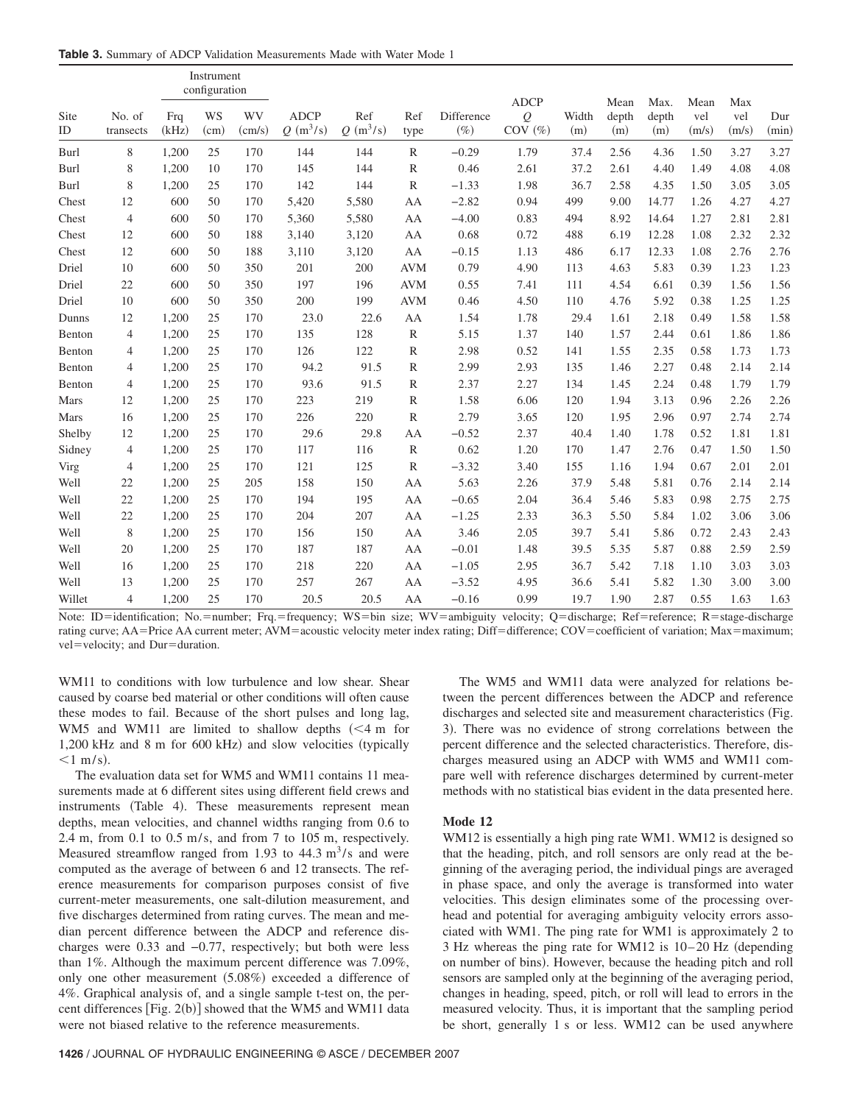**Table 3.** Summary of ADCP Validation Measurements Made with Water Mode 1

|            |                     |              | Instrument<br>configuration |                     |                           |                   |              |                      |                                              |              |                      |                      |                      |                     |              |
|------------|---------------------|--------------|-----------------------------|---------------------|---------------------------|-------------------|--------------|----------------------|----------------------------------------------|--------------|----------------------|----------------------|----------------------|---------------------|--------------|
| Site<br>ID | No. of<br>transects | Frq<br>(kHz) | WS<br>(cm)                  | <b>WV</b><br>(cm/s) | <b>ADCP</b><br>$Q(m^3/s)$ | Ref<br>$Q(m^3/s)$ | Ref<br>type  | Difference<br>$(\%)$ | <b>ADCP</b><br>$\mathcal{Q}$<br>$COV$ $(\%)$ | Width<br>(m) | Mean<br>depth<br>(m) | Max.<br>depth<br>(m) | Mean<br>vel<br>(m/s) | Max<br>vel<br>(m/s) | Dur<br>(min) |
| Burl       | 8                   | 1,200        | 25                          | 170                 | 144                       | 144               | $\mathbb{R}$ | $-0.29$              | 1.79                                         | 37.4         | 2.56                 | 4.36                 | 1.50                 | 3.27                | 3.27         |
| Burl       | 8                   | 1,200        | 10                          | 170                 | 145                       | 144               | R            | 0.46                 | 2.61                                         | 37.2         | 2.61                 | 4.40                 | 1.49                 | 4.08                | 4.08         |
| Burl       | 8                   | 1,200        | 25                          | 170                 | 142                       | 144               | R            | $-1.33$              | 1.98                                         | 36.7         | 2.58                 | 4.35                 | 1.50                 | 3.05                | 3.05         |
| Chest      | 12                  | 600          | 50                          | 170                 | 5,420                     | 5,580             | AA           | $-2.82$              | 0.94                                         | 499          | 9.00                 | 14.77                | 1.26                 | 4.27                | 4.27         |
| Chest      | $\overline{4}$      | 600          | 50                          | 170                 | 5,360                     | 5,580             | AA           | $-4.00$              | 0.83                                         | 494          | 8.92                 | 14.64                | 1.27                 | 2.81                | 2.81         |
| Chest      | 12                  | 600          | 50                          | 188                 | 3,140                     | 3,120             | AA           | 0.68                 | 0.72                                         | 488          | 6.19                 | 12.28                | 1.08                 | 2.32                | 2.32         |
| Chest      | 12                  | 600          | 50                          | 188                 | 3,110                     | 3,120             | AA           | $-0.15$              | 1.13                                         | 486          | 6.17                 | 12.33                | 1.08                 | 2.76                | 2.76         |
| Driel      | 10                  | 600          | 50                          | 350                 | 201                       | 200               | <b>AVM</b>   | 0.79                 | 4.90                                         | 113          | 4.63                 | 5.83                 | 0.39                 | 1.23                | 1.23         |
| Driel      | 22                  | 600          | 50                          | 350                 | 197                       | 196               | <b>AVM</b>   | 0.55                 | 7.41                                         | 111          | 4.54                 | 6.61                 | 0.39                 | 1.56                | 1.56         |
| Driel      | 10                  | 600          | 50                          | 350                 | 200                       | 199               | <b>AVM</b>   | 0.46                 | 4.50                                         | 110          | 4.76                 | 5.92                 | 0.38                 | 1.25                | 1.25         |
| Dunns      | 12                  | 1,200        | 25                          | 170                 | 23.0                      | 22.6              | AA           | 1.54                 | 1.78                                         | 29.4         | 1.61                 | 2.18                 | 0.49                 | 1.58                | 1.58         |
| Benton     | $\overline{4}$      | 1,200        | 25                          | 170                 | 135                       | 128               | $\mathbb{R}$ | 5.15                 | 1.37                                         | 140          | 1.57                 | 2.44                 | 0.61                 | 1.86                | 1.86         |
| Benton     | $\overline{4}$      | 1,200        | 25                          | 170                 | 126                       | 122               | $\mathbb{R}$ | 2.98                 | 0.52                                         | 141          | 1.55                 | 2.35                 | 0.58                 | 1.73                | 1.73         |
| Benton     | $\overline{4}$      | 1,200        | 25                          | 170                 | 94.2                      | 91.5              | R            | 2.99                 | 2.93                                         | 135          | 1.46                 | 2.27                 | 0.48                 | 2.14                | 2.14         |
| Benton     | $\overline{4}$      | 1,200        | 25                          | 170                 | 93.6                      | 91.5              | $\mathbb{R}$ | 2.37                 | 2.27                                         | 134          | 1.45                 | 2.24                 | 0.48                 | 1.79                | 1.79         |
| Mars       | 12                  | 1,200        | 25                          | 170                 | 223                       | 219               | $\mathbb{R}$ | 1.58                 | 6.06                                         | 120          | 1.94                 | 3.13                 | 0.96                 | 2.26                | 2.26         |
| Mars       | 16                  | 1,200        | 25                          | 170                 | 226                       | 220               | R            | 2.79                 | 3.65                                         | 120          | 1.95                 | 2.96                 | 0.97                 | 2.74                | 2.74         |
| Shelby     | 12                  | 1,200        | 25                          | 170                 | 29.6                      | 29.8              | AA           | $-0.52$              | 2.37                                         | 40.4         | 1.40                 | 1.78                 | 0.52                 | 1.81                | 1.81         |
| Sidney     | $\overline{4}$      | 1,200        | 25                          | 170                 | 117                       | 116               | R            | 0.62                 | 1.20                                         | 170          | 1.47                 | 2.76                 | 0.47                 | 1.50                | 1.50         |
| Virg       | $\overline{4}$      | 1,200        | 25                          | 170                 | 121                       | 125               | R            | $-3.32$              | 3.40                                         | 155          | 1.16                 | 1.94                 | 0.67                 | 2.01                | 2.01         |
| Well       | 22                  | 1,200        | 25                          | 205                 | 158                       | 150               | AA           | 5.63                 | 2.26                                         | 37.9         | 5.48                 | 5.81                 | 0.76                 | 2.14                | 2.14         |
| Well       | 22                  | 1,200        | 25                          | 170                 | 194                       | 195               | AA           | $-0.65$              | 2.04                                         | 36.4         | 5.46                 | 5.83                 | 0.98                 | 2.75                | 2.75         |
| Well       | 22                  | 1,200        | 25                          | 170                 | 204                       | 207               | AA           | $-1.25$              | 2.33                                         | 36.3         | 5.50                 | 5.84                 | 1.02                 | 3.06                | 3.06         |
| Well       | 8                   | 1,200        | 25                          | 170                 | 156                       | 150               | AA           | 3.46                 | 2.05                                         | 39.7         | 5.41                 | 5.86                 | 0.72                 | 2.43                | 2.43         |
| Well       | 20                  | 1,200        | 25                          | 170                 | 187                       | 187               | AA           | $-0.01$              | 1.48                                         | 39.5         | 5.35                 | 5.87                 | 0.88                 | 2.59                | 2.59         |
| Well       | 16                  | 1,200        | 25                          | 170                 | 218                       | 220               | AA           | $-1.05$              | 2.95                                         | 36.7         | 5.42                 | 7.18                 | 1.10                 | 3.03                | 3.03         |
| Well       | 13                  | 1,200        | 25                          | 170                 | 257                       | 267               | AA           | $-3.52$              | 4.95                                         | 36.6         | 5.41                 | 5.82                 | 1.30                 | 3.00                | 3.00         |
| Willet     | $\overline{4}$      | 1,200        | 25                          | 170                 | 20.5                      | 20.5              | AA           | $-0.16$              | 0.99                                         | 19.7         | 1.90                 | 2.87                 | 0.55                 | 1.63                | 1.63         |

Note: ID=identification; No.=number; Frq.=frequency; WS=bin size; WV=ambiguity velocity; Q=discharge; Ref=reference; R=stage-discharge rating curve; AA=Price AA current meter; AVM=acoustic velocity meter index rating; Diff=difference; COV=coefficient of variation; Max=maximum; vel=velocity; and Dur=duration.

WM11 to conditions with low turbulence and low shear. Shear caused by coarse bed material or other conditions will often cause these modes to fail. Because of the short pulses and long lag, WM5 and WM11 are limited to shallow depths  $(< 4$  m for 1,200 kHz and 8 m for 600 kHz) and slow velocities (typically  $<$ 1 m/s).

The evaluation data set for WM5 and WM11 contains 11 measurements made at 6 different sites using different field crews and instruments (Table 4). These measurements represent mean depths, mean velocities, and channel widths ranging from 0.6 to 2.4 m, from  $0.1$  to  $0.5$  m/s, and from 7 to 105 m, respectively. Measured streamflow ranged from 1.93 to  $44.3 \text{ m}^3/\text{s}$  and were computed as the average of between 6 and 12 transects. The reference measurements for comparison purposes consist of five current-meter measurements, one salt-dilution measurement, and five discharges determined from rating curves. The mean and median percent difference between the ADCP and reference discharges were 0.33 and −0.77, respectively; but both were less than 1%. Although the maximum percent difference was 7.09%, only one other measurement (5.08%) exceeded a difference of 4%. Graphical analysis of, and a single sample t-test on, the percent differences  $[Fig. 2(b)]$  showed that the WM5 and WM11 data were not biased relative to the reference measurements.

The WM5 and WM11 data were analyzed for relations between the percent differences between the ADCP and reference discharges and selected site and measurement characteristics (Fig. 3). There was no evidence of strong correlations between the percent difference and the selected characteristics. Therefore, discharges measured using an ADCP with WM5 and WM11 compare well with reference discharges determined by current-meter methods with no statistical bias evident in the data presented here.

#### **Mode 12**

WM12 is essentially a high ping rate WM1. WM12 is designed so that the heading, pitch, and roll sensors are only read at the beginning of the averaging period, the individual pings are averaged in phase space, and only the average is transformed into water velocities. This design eliminates some of the processing overhead and potential for averaging ambiguity velocity errors associated with WM1. The ping rate for WM1 is approximately 2 to 3 Hz whereas the ping rate for WM12 is  $10-20$  Hz (depending on number of bins). However, because the heading pitch and roll sensors are sampled only at the beginning of the averaging period, changes in heading, speed, pitch, or roll will lead to errors in the measured velocity. Thus, it is important that the sampling period be short, generally 1 s or less. WM12 can be used anywhere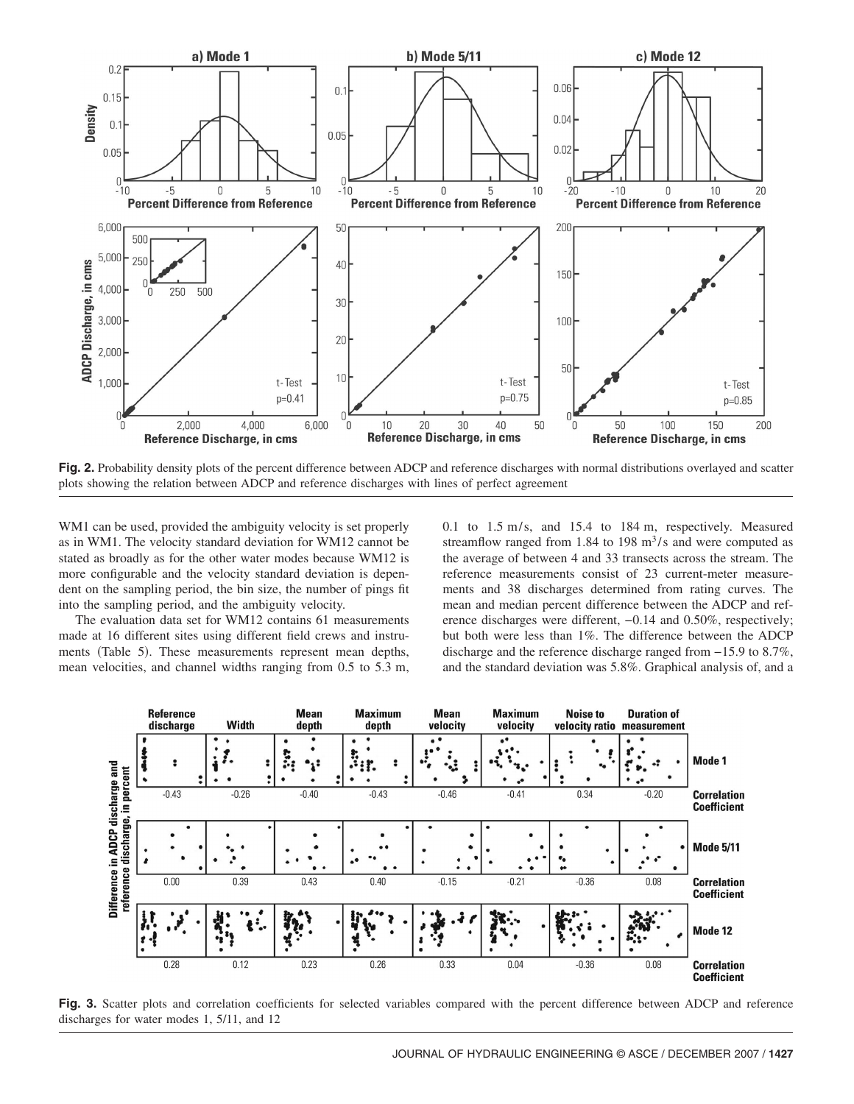

**Fig. 2.** Probability density plots of the percent difference between ADCP and reference discharges with normal distributions overlayed and scatter plots showing the relation between ADCP and reference discharges with lines of perfect agreement

WM1 can be used, provided the ambiguity velocity is set properly as in WM1. The velocity standard deviation for WM12 cannot be stated as broadly as for the other water modes because WM12 is more configurable and the velocity standard deviation is dependent on the sampling period, the bin size, the number of pings fit into the sampling period, and the ambiguity velocity.

The evaluation data set for WM12 contains 61 measurements made at 16 different sites using different field crews and instruments (Table 5). These measurements represent mean depths, mean velocities, and channel widths ranging from 0.5 to 5.3 m, 0.1 to  $1.5 \text{ m/s}$ , and  $15.4$  to  $184 \text{ m}$ , respectively. Measured streamflow ranged from 1.84 to 198  $\text{m}^3$ /s and were computed as the average of between 4 and 33 transects across the stream. The reference measurements consist of 23 current-meter measurements and 38 discharges determined from rating curves. The mean and median percent difference between the ADCP and reference discharges were different, −0.14 and 0.50%, respectively; but both were less than 1%. The difference between the ADCP discharge and the reference discharge ranged from −15.9 to 8.7%, and the standard deviation was 5.8%. Graphical analysis of, and a



Fig. 3. Scatter plots and correlation coefficients for selected variables compared with the percent difference between ADCP and reference discharges for water modes 1, 5/11, and 12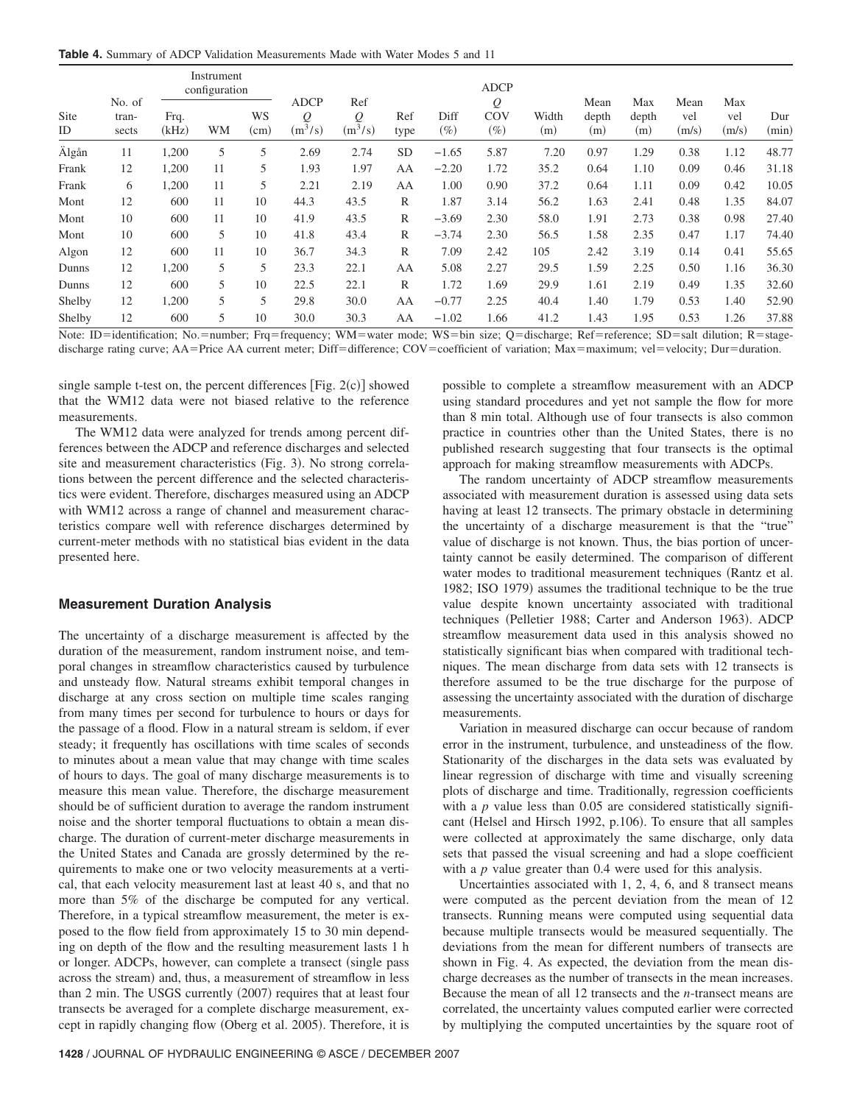**Table 4.** Summary of ADCP Validation Measurements Made with Water Modes 5 and 11

|            |                          |               | Instrument<br>configuration |            |                                           |                               |              |                |                    |              |                      |                     |                      |                     |              |
|------------|--------------------------|---------------|-----------------------------|------------|-------------------------------------------|-------------------------------|--------------|----------------|--------------------|--------------|----------------------|---------------------|----------------------|---------------------|--------------|
| Site<br>ID | No. of<br>tran-<br>sects | Frq.<br>(kHz) | <b>WM</b>                   | WS<br>(cm) | <b>ADCP</b><br>$\mathcal{Q}$<br>$(m^3/s)$ | Ref<br>$\varrho$<br>$(m^3/s)$ | Ref<br>type  | Diff<br>$(\%)$ | Q<br>COV<br>$(\%)$ | Width<br>(m) | Mean<br>depth<br>(m) | Max<br>depth<br>(m) | Mean<br>vel<br>(m/s) | Max<br>vel<br>(m/s) | Dur<br>(min) |
| Älgån      | 11                       | 1,200         | 5                           | 5          | 2.69                                      | 2.74                          | SD.          | $-1.65$        | 5.87               | 7.20         | 0.97                 | 1.29                | 0.38                 | 1.12                | 48.77        |
| Frank      | 12                       | 1,200         | 11                          | 5          | 1.93                                      | 1.97                          | AA           | $-2.20$        | 1.72               | 35.2         | 0.64                 | 1.10                | 0.09                 | 0.46                | 31.18        |
| Frank      | 6                        | 1,200         | 11                          | 5          | 2.21                                      | 2.19                          | AA           | 1.00           | 0.90               | 37.2         | 0.64                 | 1.11                | 0.09                 | 0.42                | 10.05        |
| Mont       | 12                       | 600           | 11                          | 10         | 44.3                                      | 43.5                          | R            | 1.87           | 3.14               | 56.2         | 1.63                 | 2.41                | 0.48                 | 1.35                | 84.07        |
| Mont       | 10                       | 600           | 11                          | 10         | 41.9                                      | 43.5                          | $\mathbb{R}$ | $-3.69$        | 2.30               | 58.0         | 1.91                 | 2.73                | 0.38                 | 0.98                | 27.40        |
| Mont       | 10                       | 600           | 5                           | 10         | 41.8                                      | 43.4                          | R            | $-3.74$        | 2.30               | 56.5         | 1.58                 | 2.35                | 0.47                 | 1.17                | 74.40        |
| Algon      | 12                       | 600           | 11                          | 10         | 36.7                                      | 34.3                          | $\mathbb{R}$ | 7.09           | 2.42               | 105          | 2.42                 | 3.19                | 0.14                 | 0.41                | 55.65        |
| Dunns      | 12                       | 1,200         | 5                           | 5          | 23.3                                      | 22.1                          | AA           | 5.08           | 2.27               | 29.5         | 1.59                 | 2.25                | 0.50                 | 1.16                | 36.30        |
| Dunns      | 12                       | 600           | 5                           | 10         | 22.5                                      | 22.1                          | $\mathbb{R}$ | 1.72           | 1.69               | 29.9         | 1.61                 | 2.19                | 0.49                 | 1.35                | 32.60        |
| Shelby     | 12                       | 1,200         | 5                           | 5          | 29.8                                      | 30.0                          | AA           | $-0.77$        | 2.25               | 40.4         | 1.40                 | 1.79                | 0.53                 | 1.40                | 52.90        |
| Shelby     | 12                       | 600           | 5                           | 10         | 30.0                                      | 30.3                          | AA           | $-1.02$        | 1.66               | 41.2         | 1.43                 | 1.95                | 0.53                 | 1.26                | 37.88        |

Note: ID=identification; No.=number; Frq=frequency; WM=water mode; WS=bin size; Q=discharge; Ref=reference; SD=salt dilution; R=stagedischarge rating curve; AA=Price AA current meter; Diff=difference; COV=coefficient of variation; Max=maximum; vel=velocity; Dur=duration.

single sample t-test on, the percent differences  $[Fig. 2(c)]$  showed that the WM12 data were not biased relative to the reference measurements.

The WM12 data were analyzed for trends among percent differences between the ADCP and reference discharges and selected site and measurement characteristics (Fig. 3). No strong correlations between the percent difference and the selected characteristics were evident. Therefore, discharges measured using an ADCP with WM12 across a range of channel and measurement characteristics compare well with reference discharges determined by current-meter methods with no statistical bias evident in the data presented here.

#### **Measurement Duration Analysis**

The uncertainty of a discharge measurement is affected by the duration of the measurement, random instrument noise, and temporal changes in streamflow characteristics caused by turbulence and unsteady flow. Natural streams exhibit temporal changes in discharge at any cross section on multiple time scales ranging from many times per second for turbulence to hours or days for the passage of a flood. Flow in a natural stream is seldom, if ever steady; it frequently has oscillations with time scales of seconds to minutes about a mean value that may change with time scales of hours to days. The goal of many discharge measurements is to measure this mean value. Therefore, the discharge measurement should be of sufficient duration to average the random instrument noise and the shorter temporal fluctuations to obtain a mean discharge. The duration of current-meter discharge measurements in the United States and Canada are grossly determined by the requirements to make one or two velocity measurements at a vertical, that each velocity measurement last at least 40 s, and that no more than 5% of the discharge be computed for any vertical. Therefore, in a typical streamflow measurement, the meter is exposed to the flow field from approximately 15 to 30 min depending on depth of the flow and the resulting measurement lasts 1 h or longer. ADCPs, however, can complete a transect (single pass across the stream) and, thus, a measurement of streamflow in less than 2 min. The USGS currently (2007) requires that at least four transects be averaged for a complete discharge measurement, except in rapidly changing flow (Oberg et al. 2005). Therefore, it is

possible to complete a streamflow measurement with an ADCP using standard procedures and yet not sample the flow for more than 8 min total. Although use of four transects is also common practice in countries other than the United States, there is no published research suggesting that four transects is the optimal approach for making streamflow measurements with ADCPs.

The random uncertainty of ADCP streamflow measurements associated with measurement duration is assessed using data sets having at least 12 transects. The primary obstacle in determining the uncertainty of a discharge measurement is that the "true" value of discharge is not known. Thus, the bias portion of uncertainty cannot be easily determined. The comparison of different water modes to traditional measurement techniques (Rantz et al. 1982; ISO 1979) assumes the traditional technique to be the true value despite known uncertainty associated with traditional techniques (Pelletier 1988; Carter and Anderson 1963). ADCP streamflow measurement data used in this analysis showed no statistically significant bias when compared with traditional techniques. The mean discharge from data sets with 12 transects is therefore assumed to be the true discharge for the purpose of assessing the uncertainty associated with the duration of discharge measurements.

Variation in measured discharge can occur because of random error in the instrument, turbulence, and unsteadiness of the flow. Stationarity of the discharges in the data sets was evaluated by linear regression of discharge with time and visually screening plots of discharge and time. Traditionally, regression coefficients with a *p* value less than 0.05 are considered statistically significant (Helsel and Hirsch 1992, p.106). To ensure that all samples were collected at approximately the same discharge, only data sets that passed the visual screening and had a slope coefficient with a *p* value greater than 0.4 were used for this analysis.

Uncertainties associated with 1, 2, 4, 6, and 8 transect means were computed as the percent deviation from the mean of 12 transects. Running means were computed using sequential data because multiple transects would be measured sequentially. The deviations from the mean for different numbers of transects are shown in Fig. 4. As expected, the deviation from the mean discharge decreases as the number of transects in the mean increases. Because the mean of all 12 transects and the *n*-transect means are correlated, the uncertainty values computed earlier were corrected by multiplying the computed uncertainties by the square root of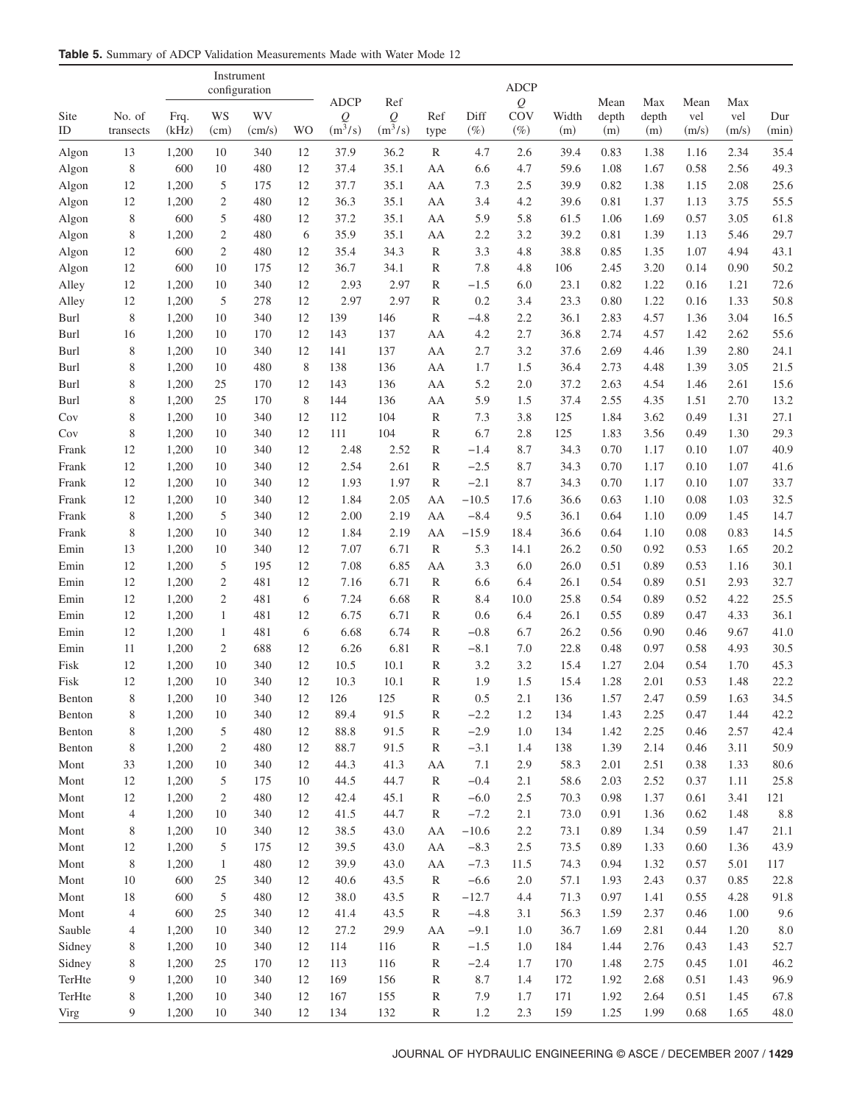**Table 5.** Summary of ADCP Validation Measurements Made with Water Mode 12

|              |                |                |                | Instrument<br>configuration |         |                           |              |                   |               | <b>ADCP</b>       |              |               |              |              |              |              |
|--------------|----------------|----------------|----------------|-----------------------------|---------|---------------------------|--------------|-------------------|---------------|-------------------|--------------|---------------|--------------|--------------|--------------|--------------|
| Site         | No. of         | Frq.           | WS             | WV                          |         | <b>ADCP</b><br>${\cal Q}$ | Ref<br>Q     | Ref               | Diff          | ${\cal Q}$<br>COV | Width        | Mean<br>depth | Max<br>depth | Mean<br>vel  | Max<br>vel   | Dur          |
| ID           | transects      | (kHz)          | (cm)           | (cm/s)                      | WO      | $(m^3/s)$                 | $(m^3/s)$    | type              | $(\%)$        | $(\%)$            | (m)          | (m)           | (m)          | (m/s)        | (m/s)        | (min)        |
| Algon        | 13             | 1,200          | 10             | 340                         | 12      | 37.9                      | 36.2         | $\mathbb{R}$      | 4.7           | 2.6               | 39.4         | 0.83          | 1.38         | 1.16         | 2.34         | 35.4         |
| Algon        | $\,$ 8 $\,$    | 600            | 10             | 480                         | 12      | 37.4                      | 35.1         | AA                | 6.6           | 4.7               | 59.6         | 1.08          | 1.67         | 0.58         | 2.56         | 49.3         |
| Algon        | 12             | 1,200          | 5              | 175                         | 12      | 37.7                      | 35.1         | AA                | 7.3           | 2.5               | 39.9         | 0.82          | 1.38         | 1.15         | 2.08         | 25.6         |
| Algon        | 12             | 1,200          | 2              | 480                         | 12      | 36.3                      | 35.1         | AA                | 3.4           | 4.2               | 39.6         | 0.81          | 1.37         | 1.13         | 3.75         | 55.5         |
| Algon        | 8              | 600            | 5              | 480                         | 12      | 37.2                      | 35.1         | AA                | 5.9           | 5.8               | 61.5         | 1.06          | 1.69         | 0.57         | 3.05         | 61.8         |
| Algon        | 8              | 1,200          | 2              | 480                         | 6       | 35.9                      | 35.1         | AA                | 2.2           | 3.2               | 39.2         | 0.81          | 1.39         | 1.13         | 5.46         | 29.7         |
| Algon        | 12             | 600            | $\mathfrak{2}$ | 480                         | 12      | 35.4                      | 34.3         | $\mathbb{R}$      | 3.3           | 4.8               | 38.8         | 0.85          | 1.35         | 1.07         | 4.94         | 43.1         |
| Algon        | 12             | 600            | 10             | 175                         | 12      | 36.7                      | 34.1         | R                 | 7.8           | 4.8               | 106          | 2.45          | 3.20         | 0.14         | 0.90         | 50.2         |
| Alley        | 12             | 1,200          | 10             | 340                         | 12      | 2.93                      | 2.97         | R                 | $-1.5$        | 6.0               | 23.1         | 0.82          | 1.22         | 0.16         | 1.21         | 72.6         |
| Alley        | 12             | 1,200          | 5              | 278                         | 12      | 2.97                      | 2.97         | R                 | 0.2           | 3.4               | 23.3         | 0.80          | 1.22         | 0.16         | 1.33         | 50.8         |
| Burl         | 8              | 1,200          | 10             | 340                         | 12      | 139                       | 146          | $\mathbb{R}$      | $-4.8$        | 2.2               | 36.1         | 2.83          | 4.57         | 1.36         | 3.04         | 16.5         |
| Burl         | 16             | 1,200          | 10             | 170                         | 12      | 143                       | 137          | AA                | 4.2           | 2.7               | 36.8         | 2.74          | 4.57         | 1.42         | 2.62         | 55.6         |
| Burl         | 8              | 1,200          | 10             | 340                         | 12      | 141                       | 137          | AA                | 2.7           | 3.2               | 37.6         | 2.69          | 4.46         | 1.39         | 2.80         | 24.1         |
| Burl         | 8              | 1,200          | 10             | 480                         | 8       | 138                       | 136          | AA                | 1.7           | 1.5               | 36.4         | 2.73          | 4.48         | 1.39         | 3.05         | 21.5         |
| Burl         | 8              | 1,200          | 25             | 170                         | 12      | 143                       | 136          | AA                | 5.2           | 2.0               | 37.2         | 2.63          | 4.54         | 1.46         | 2.61         | 15.6         |
| Burl         | 8              | 1,200          | 25             | 170                         | 8       | 144                       | 136          | AA                | 5.9           | 1.5               | 37.4         | 2.55          | 4.35         | 1.51         | 2.70         | 13.2         |
| Cov          | 8              | 1,200          | 10             | 340                         | 12      | 112                       | 104          | $\mathbb{R}$      | 7.3           | 3.8               | 125          | 1.84          | 3.62         | 0.49         | 1.31         | 27.1         |
| Cov          | 8              | 1,200          | 10             | 340                         | 12      | 111                       | 104          | R                 | 6.7           | 2.8               | 125          | 1.83          | 3.56         | 0.49         | 1.30         | 29.3         |
| Frank        | 12             | 1,200          | 10             | 340                         | 12      | 2.48                      | 2.52         | $\mathbb{R}$      | $-1.4$        | 8.7               | 34.3         | 0.70          | 1.17         | 0.10         | 1.07         | 40.9         |
| Frank        | 12             | 1,200          | 10             | 340                         | 12      | 2.54                      | 2.61         | R                 | $-2.5$        | 8.7               | 34.3         | 0.70          | 1.17         | 0.10         | 1.07         | 41.6         |
| Frank        | 12             | 1,200          | 10             | 340                         | 12      | 1.93                      | 1.97         | $\mathbb{R}$      | $-2.1$        | 8.7               | 34.3         | 0.70          | 1.17         | 0.10         | 1.07         | 33.7         |
| Frank        | 12             | 1,200          | 10             | 340                         | 12      | 1.84                      | 2.05         | AA                | $-10.5$       | 17.6              | 36.6         | 0.63          | 1.10         | 0.08         | 1.03         | 32.5         |
| Frank        | 8              | 1,200          | 5              | 340                         | 12      | 2.00                      | 2.19         | AA                | $-8.4$        | 9.5               | 36.1         | 0.64          | 1.10         | 0.09         | 1.45         | 14.7         |
| Frank        | 8              | 1,200          | 10             | 340                         | 12      | 1.84                      | 2.19         | AA                | $-15.9$       | 18.4              | 36.6         | 0.64          | 1.10         | 0.08         | 0.83         | 14.5         |
| Emin         | 13             | 1,200          | 10             | 340                         | 12      | 7.07                      | 6.71         | $\mathbb{R}$      | 5.3           | 14.1              | 26.2         | 0.50          | 0.92         | 0.53         | 1.65         | 20.2         |
| Emin         | 12             | 1,200          | 5              | 195                         | 12      | 7.08                      | 6.85         | AA                | 3.3           | 6.0               | 26.0         | 0.51          | 0.89         | 0.53         | 1.16         | 30.1         |
| Emin         | 12             | 1,200          | $\mathfrak{2}$ | 481                         | 12      | 7.16                      | 6.71         | $\mathbb{R}$      | 6.6           | 6.4               | 26.1         | 0.54          | 0.89         | 0.51         | 2.93         | 32.7         |
| Emin         | 12             | 1,200          | $\mathfrak{2}$ | 481                         | 6       | 7.24                      | 6.68         | $\mathbb{R}$      | 8.4           | 10.0              | 25.8         | 0.54          | 0.89         | 0.52         | 4.22         | 25.5         |
| Emin         | 12             | 1,200          | $\mathbf{1}$   | 481                         | 12      | 6.75                      | 6.71         | $\mathbb{R}$      | 0.6           | 6.4               | 26.1         | 0.55          | 0.89         | 0.47         | 4.33         | 36.1         |
| Emin         | 12             | 1,200          | 1              | 481                         | 6<br>12 | 6.68                      | 6.74         | $\mathbb{R}$      | $-0.8$        | 6.7               | 26.2         | 0.56          | 0.90         | 0.46         | 9.67         | 41.0         |
| Emin<br>Fisk | 11<br>12       | 1,200<br>1,200 | 2<br>10        | 688<br>340                  | 12      | 6.26<br>10.5              | 6.81<br>10.1 | $\mathbb{R}$<br>R | $-8.1$<br>3.2 | 7.0<br>3.2        | 22.8<br>15.4 | 0.48<br>1.27  | 0.97<br>2.04 | 0.58<br>0.54 | 4.93<br>1.70 | 30.5<br>45.3 |
| Fisk         | 12             | 1,200          | 10             | 340                         | 12      | 10.3                      | 10.1         | R                 | 1.9           | 1.5               | 15.4         | 1.28          | 2.01         | 0.53         | 1.48         | 22.2         |
| Benton       | $\,$ $\,$      | 1,200          | $10\,$         | 340                         | $12\,$  | 126                       | 125          | ${\mathbb R}$     | $0.5\,$       | 2.1               | 136          | 1.57          | 2.47         | 0.59         | 1.63         | 34.5         |
| Benton       | 8              | 1,200          | 10             | 340                         | 12      | 89.4                      | 91.5         | R                 | $-2.2$        | 1.2               | 134          | 1.43          | 2.25         | 0.47         | 1.44         | 42.2         |
| Benton       | 8              | 1,200          | 5              | 480                         | 12      | 88.8                      | 91.5         | $\mathbb{R}$      | $-2.9$        | 1.0               | 134          | 1.42          | 2.25         | 0.46         | 2.57         | 42.4         |
| Benton       | 8              | 1,200          | 2              | 480                         | 12      | 88.7                      | 91.5         | $\mathbb{R}$      | $-3.1$        | 1.4               | 138          | 1.39          | 2.14         | 0.46         | 3.11         | 50.9         |
| Mont         | 33             | 1,200          | 10             | 340                         | 12      | 44.3                      | 41.3         | AA                | 7.1           | 2.9               | 58.3         | 2.01          | 2.51         | 0.38         | 1.33         | 80.6         |
| Mont         | 12             | 1,200          | 5              | 175                         | 10      | 44.5                      | 44.7         | $\mathbb{R}$      | $-0.4$        | 2.1               | 58.6         | 2.03          | 2.52         | 0.37         | 1.11         | 25.8         |
| Mont         | 12             | 1,200          | $\mathfrak{2}$ | 480                         | 12      | 42.4                      | 45.1         | R                 | $-6.0$        | 2.5               | 70.3         | 0.98          | 1.37         | 0.61         | 3.41         | 121          |
| Mont         | $\overline{4}$ | 1,200          | 10             | 340                         | 12      | 41.5                      | 44.7         | $\mathbb{R}$      | $-7.2$        | 2.1               | 73.0         | 0.91          | 1.36         | 0.62         | 1.48         | 8.8          |
| Mont         | 8              | 1,200          | 10             | 340                         | 12      | 38.5                      | 43.0         | AA                | $-10.6$       | 2.2               | 73.1         | 0.89          | 1.34         | 0.59         | 1.47         | 21.1         |
| Mont         | 12             | 1,200          | 5              | 175                         | 12      | 39.5                      | 43.0         | AA                | $-8.3$        | 2.5               | 73.5         | 0.89          | 1.33         | 0.60         | 1.36         | 43.9         |
| Mont         | $\,$ 8 $\,$    | 1,200          | $\mathbf{1}$   | 480                         | 12      | 39.9                      | 43.0         | AA                | $-7.3$        | 11.5              | 74.3         | 0.94          | 1.32         | 0.57         | 5.01         | 117          |
| Mont         | 10             | 600            | 25             | 340                         | 12      | 40.6                      | 43.5         | R                 | $-6.6$        | 2.0               | 57.1         | 1.93          | 2.43         | 0.37         | 0.85         | 22.8         |
| Mont         | 18             | 600            | 5              | 480                         | 12      | 38.0                      | 43.5         | $\mathbb{R}$      | $-12.7$       | 4.4               | 71.3         | 0.97          | 1.41         | 0.55         | 4.28         | 91.8         |
| Mont         | $\overline{4}$ | 600            | 25             | 340                         | 12      | 41.4                      | 43.5         | $\mathbb{R}$      | $-4.8$        | 3.1               | 56.3         | 1.59          | 2.37         | 0.46         | 1.00         | 9.6          |
| Sauble       | $\overline{4}$ | 1,200          | 10             | 340                         | 12      | 27.2                      | 29.9         | AA                | $-9.1$        | 1.0               | 36.7         | 1.69          | 2.81         | 0.44         | 1.20         | 8.0          |
| Sidney       | 8              | 1,200          | 10             | 340                         | 12      | 114                       | 116          | $\mathbb R$       | $-1.5$        | 1.0               | 184          | 1.44          | 2.76         | 0.43         | 1.43         | 52.7         |
| Sidney       | 8              | 1,200          | 25             | 170                         | 12      | 113                       | 116          | $\mathbb R$       | $-2.4$        | 1.7               | 170          | 1.48          | 2.75         | 0.45         | 1.01         | 46.2         |
| TerHte       | 9              | 1,200          | 10             | 340                         | 12      | 169                       | 156          | $\mathbb R$       | 8.7           | 1.4               | 172          | 1.92          | 2.68         | 0.51         | 1.43         | 96.9         |
| TerHte       | 8              | 1,200          | 10             | 340                         | 12      | 167                       | 155          | $\mathbb R$       | 7.9           | 1.7               | 171          | 1.92          | 2.64         | 0.51         | 1.45         | 67.8         |
| Virg         | 9              | 1,200          | 10             | 340                         | 12      | 134                       | 132          | $\mathbb R$       | 1.2           | 2.3               | 159          | 1.25          | 1.99         | 0.68         | 1.65         | $48.0\,$     |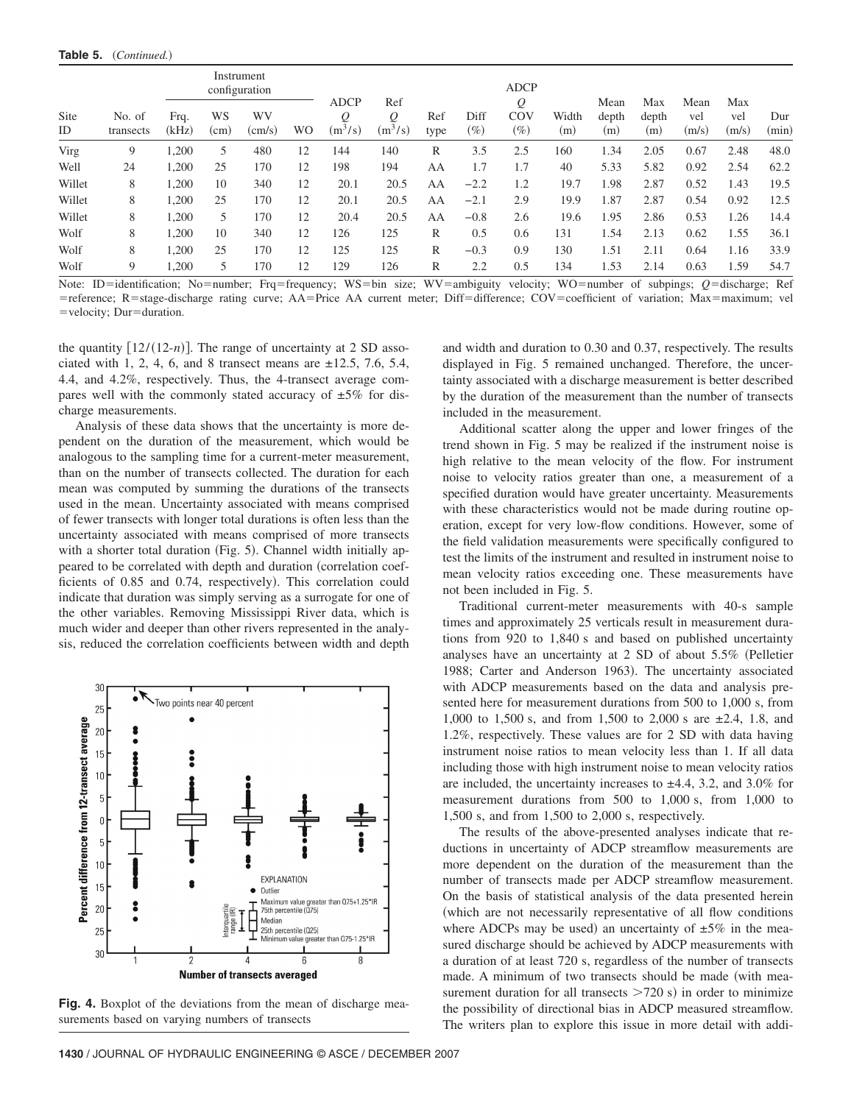|                   |                     |               |            | Instrument<br>configuration |    |                               |                       |             |                | <b>ADCP</b>        |              |                      |                     |                      |                     |              |
|-------------------|---------------------|---------------|------------|-----------------------------|----|-------------------------------|-----------------------|-------------|----------------|--------------------|--------------|----------------------|---------------------|----------------------|---------------------|--------------|
| <b>Site</b><br>ID | No. of<br>transects | Frq.<br>(kHz) | WS<br>(cm) | WV<br>$\text{(cm/s)}$       | WO | <b>ADCP</b><br>Q<br>$(m^3/s)$ | Ref<br>Q<br>$(m^3/s)$ | Ref<br>type | Diff<br>$(\%)$ | Q<br>COV<br>$(\%)$ | Width<br>(m) | Mean<br>depth<br>(m) | Max<br>depth<br>(m) | Mean<br>vel<br>(m/s) | Max<br>vel<br>(m/s) | Dur<br>(min) |
| Virg              | 9                   | 1,200         | 5          | 480                         | 12 | 144                           | 140                   | R           | 3.5            | 2.5                | 160          | 1.34                 | 2.05                | 0.67                 | 2.48                | 48.0         |
| Well              | 24                  | 1,200         | 25         | 170                         | 12 | 198                           | 194                   | AA          | 1.7            | 1.7                | 40           | 5.33                 | 5.82                | 0.92                 | 2.54                | 62.2         |
| Willet            | 8                   | 1,200         | 10         | 340                         | 12 | 20.1                          | 20.5                  | AA          | $-2.2$         | 1.2                | 19.7         | 1.98                 | 2.87                | 0.52                 | 1.43                | 19.5         |
| Willet            | 8                   | 1,200         | 25         | 170                         | 12 | 20.1                          | 20.5                  | AA          | $-2.1$         | 2.9                | 19.9         | 1.87                 | 2.87                | 0.54                 | 0.92                | 12.5         |
| Willet            | 8                   | 1.200         | 5          | 170                         | 12 | 20.4                          | 20.5                  | AA          | $-0.8$         | 2.6                | 19.6         | l.95                 | 2.86                | 0.53                 | 1.26                | 14.4         |
| Wolf              | 8                   | 1,200         | 10         | 340                         | 12 | 126                           | 125                   | R           | 0.5            | 0.6                | 131          | l.54                 | 2.13                | 0.62                 | 1.55                | 36.1         |
| Wolf              | 8                   | 1.200         | 25         | 170                         | 12 | 125                           | 125                   | R           | $-0.3$         | 0.9                | 130          | 1.51                 | 2.11                | 0.64                 | 1.16                | 33.9         |
| Wolf              | 9                   | .200          | 5.         | 170                         | 12 | 129                           | 126                   | R           | 2.2            | 0.5                | 134          | 1.53                 | 2.14                | 0.63                 | 1.59                | 54.7         |

Note: ID=identification; No=number; Frq=frequency; WS=bin size; WV=ambiguity velocity; WO=number of subpings; Q=discharge; Ref = reference; R = stage-discharge rating curve; AA=Price AA current meter; Diff=difference; COV=coefficient of variation; Max=maximum; vel =velocity; Dur=duration.

the quantity  $[12/(12-n)]$ . The range of uncertainty at 2 SD associated with 1, 2, 4, 6, and 8 transect means are  $\pm 12.5$ , 7.6, 5.4, 4.4, and 4.2%, respectively. Thus, the 4-transect average compares well with the commonly stated accuracy of  $\pm 5\%$  for discharge measurements.

Analysis of these data shows that the uncertainty is more dependent on the duration of the measurement, which would be analogous to the sampling time for a current-meter measurement, than on the number of transects collected. The duration for each mean was computed by summing the durations of the transects used in the mean. Uncertainty associated with means comprised of fewer transects with longer total durations is often less than the uncertainty associated with means comprised of more transects with a shorter total duration (Fig. 5). Channel width initially appeared to be correlated with depth and duration (correlation coefficients of 0.85 and 0.74, respectively). This correlation could indicate that duration was simply serving as a surrogate for one of the other variables. Removing Mississippi River data, which is much wider and deeper than other rivers represented in the analysis, reduced the correlation coefficients between width and depth



**Fig. 4.** Boxplot of the deviations from the mean of discharge measurements based on varying numbers of transects

**1430** / JOURNAL OF HYDRAULIC ENGINEERING © ASCE / DECEMBER 2007

and width and duration to 0.30 and 0.37, respectively. The results displayed in Fig. 5 remained unchanged. Therefore, the uncertainty associated with a discharge measurement is better described by the duration of the measurement than the number of transects included in the measurement.

Additional scatter along the upper and lower fringes of the trend shown in Fig. 5 may be realized if the instrument noise is high relative to the mean velocity of the flow. For instrument noise to velocity ratios greater than one, a measurement of a specified duration would have greater uncertainty. Measurements with these characteristics would not be made during routine operation, except for very low-flow conditions. However, some of the field validation measurements were specifically configured to test the limits of the instrument and resulted in instrument noise to mean velocity ratios exceeding one. These measurements have not been included in Fig. 5.

Traditional current-meter measurements with 40-s sample times and approximately 25 verticals result in measurement durations from 920 to 1,840 s and based on published uncertainty analyses have an uncertainty at 2 SD of about 5.5% (Pelletier 1988; Carter and Anderson 1963). The uncertainty associated with ADCP measurements based on the data and analysis presented here for measurement durations from 500 to 1,000 s, from 1,000 to 1,500 s, and from 1,500 to 2,000 s are ±2.4, 1.8, and 1.2%, respectively. These values are for 2 SD with data having instrument noise ratios to mean velocity less than 1. If all data including those with high instrument noise to mean velocity ratios are included, the uncertainty increases to  $\pm 4.4$ , 3.2, and 3.0% for measurement durations from 500 to 1,000 s, from 1,000 to 1,500 s, and from 1,500 to 2,000 s, respectively.

The results of the above-presented analyses indicate that reductions in uncertainty of ADCP streamflow measurements are more dependent on the duration of the measurement than the number of transects made per ADCP streamflow measurement. On the basis of statistical analysis of the data presented herein which are not necessarily representative of all flow conditions where ADCPs may be used) an uncertainty of  $\pm 5\%$  in the measured discharge should be achieved by ADCP measurements with a duration of at least 720 s, regardless of the number of transects made. A minimum of two transects should be made (with measurement duration for all transects  $>720$  s) in order to minimize the possibility of directional bias in ADCP measured streamflow. The writers plan to explore this issue in more detail with addi-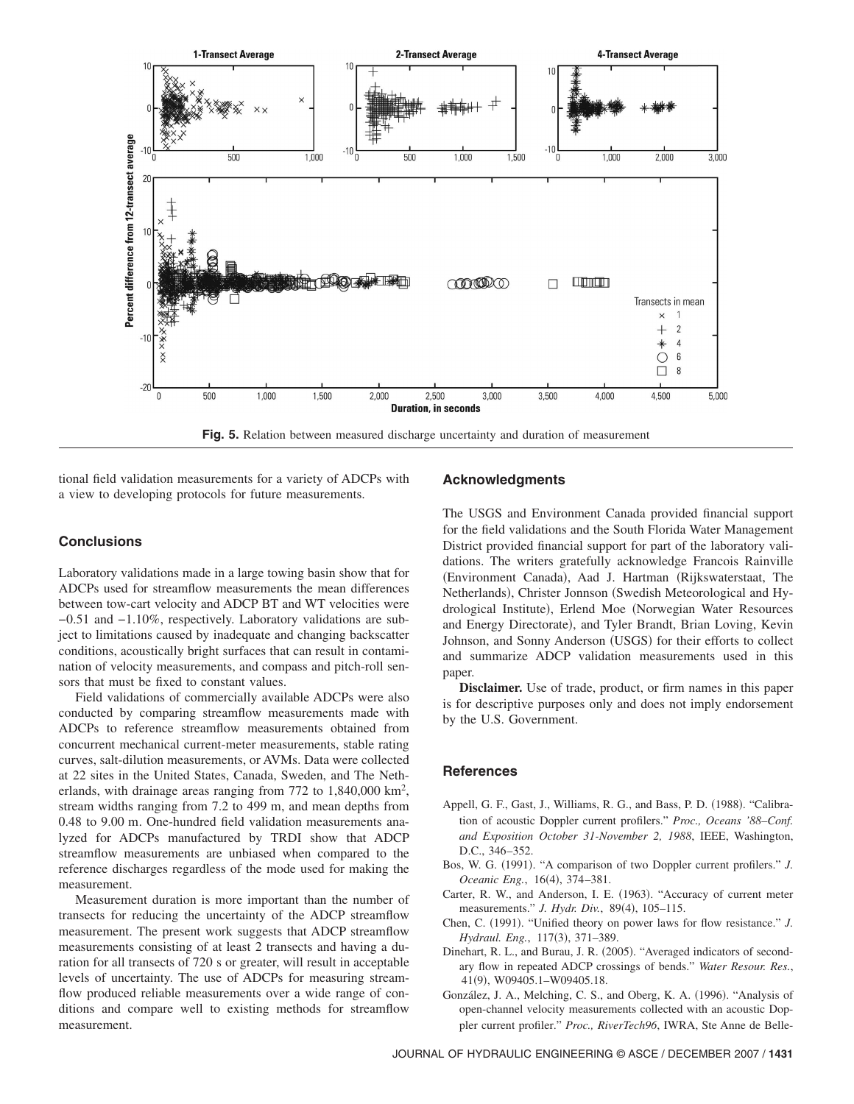

**Fig. 5.** Relation between measured discharge uncertainty and duration of measurement

tional field validation measurements for a variety of ADCPs with a view to developing protocols for future measurements.

#### **Conclusions**

Laboratory validations made in a large towing basin show that for ADCPs used for streamflow measurements the mean differences between tow-cart velocity and ADCP BT and WT velocities were −0.51 and −1.10%, respectively. Laboratory validations are subject to limitations caused by inadequate and changing backscatter conditions, acoustically bright surfaces that can result in contamination of velocity measurements, and compass and pitch-roll sensors that must be fixed to constant values.

Field validations of commercially available ADCPs were also conducted by comparing streamflow measurements made with ADCPs to reference streamflow measurements obtained from concurrent mechanical current-meter measurements, stable rating curves, salt-dilution measurements, or AVMs. Data were collected at 22 sites in the United States, Canada, Sweden, and The Netherlands, with drainage areas ranging from  $772$  to  $1,840,000$  km<sup>2</sup>, stream widths ranging from 7.2 to 499 m, and mean depths from 0.48 to 9.00 m. One-hundred field validation measurements analyzed for ADCPs manufactured by TRDI show that ADCP streamflow measurements are unbiased when compared to the reference discharges regardless of the mode used for making the measurement.

Measurement duration is more important than the number of transects for reducing the uncertainty of the ADCP streamflow measurement. The present work suggests that ADCP streamflow measurements consisting of at least 2 transects and having a duration for all transects of 720 s or greater, will result in acceptable levels of uncertainty. The use of ADCPs for measuring streamflow produced reliable measurements over a wide range of conditions and compare well to existing methods for streamflow measurement.

#### **Acknowledgments**

The USGS and Environment Canada provided financial support for the field validations and the South Florida Water Management District provided financial support for part of the laboratory validations. The writers gratefully acknowledge Francois Rainville (Environment Canada), Aad J. Hartman (Rijkswaterstaat, The Netherlands), Christer Jonnson (Swedish Meteorological and Hydrological Institute), Erlend Moe (Norwegian Water Resources and Energy Directorate), and Tyler Brandt, Brian Loving, Kevin Johnson, and Sonny Anderson (USGS) for their efforts to collect and summarize ADCP validation measurements used in this paper.

**Disclaimer.** Use of trade, product, or firm names in this paper is for descriptive purposes only and does not imply endorsement by the U.S. Government.

#### **References**

- Appell, G. F., Gast, J., Williams, R. G., and Bass, P. D. (1988). "Calibration of acoustic Doppler current profilers." *Proc., Oceans '88–Conf. and Exposition October 31-November 2, 1988*, IEEE, Washington, D.C., 346–352.
- Bos, W. G. (1991). "A comparison of two Doppler current profilers." *J.* Oceanic Eng., 16(4), 374-381.
- Carter, R. W., and Anderson, I. E. (1963). "Accuracy of current meter measurements." *J. Hydr. Div.*, 89(4), 105–115.
- Chen, C. (1991). "Unified theory on power laws for flow resistance." *J.* Hydraul. Eng., 117(3), 371-389.
- Dinehart, R. L., and Burau, J. R. (2005). "Averaged indicators of secondary flow in repeated ADCP crossings of bends." *Water Resour. Res.*, 41(9), W09405.1–W09405.18.
- González, J. A., Melching, C. S., and Oberg, K. A. (1996). "Analysis of open-channel velocity measurements collected with an acoustic Doppler current profiler." *Proc., RiverTech96*, IWRA, Ste Anne de Belle-